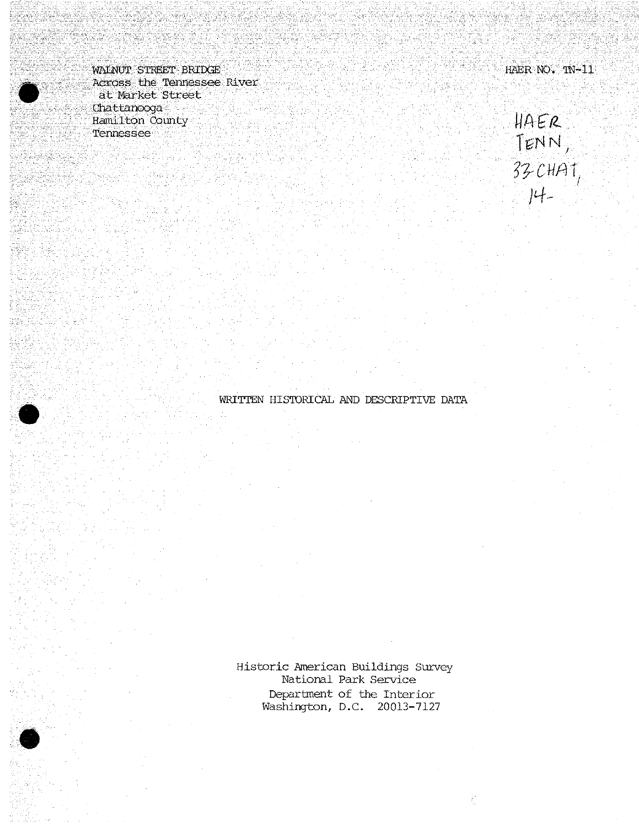*'m^^JSSB^^iStp^:;: '*■■■ • . '"'•" *'*■■■ - •;• IiAER-NO.".-^-ll Across the Tennessee River. ' at Market Street<br>Chattanooga  $\lim_{n \to \infty}$  county  $\|\beta\| \in \mathbb{R}$ •Tennessee-

TENN,<br>33-CHAT,<br>14-

Historic American Buildings Survey National Park Service Department of the Interior Washington, D.C. 20013-7127

WRITTEN HISTORICAL AND DESCRIPTIVE DATA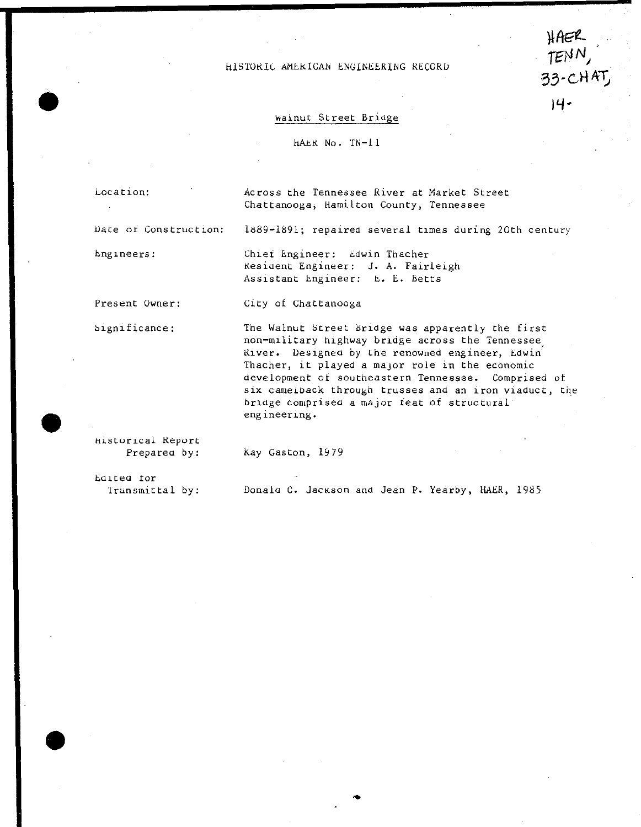HISTORIC AMERICAN ENGINEERING RECORD

# HAER  $TENN$ ,  $33 - C$ HAT **IH-**

### Wainut Street Bridge

hAER No. TN-H

Location:

 $\mathcal{L}^{\mathcal{L}}$ 

Across the Tennessee River at Market Street Chattanooga, Hamilton County, Tennessee

Date or Construction;

Engineers:

Chief Engineer: Edwin Thacher Resident Engineer: J. A. Fairleigh Assistant Engineer: E. E. Betts

Present Owner: City of Chattanooga

Significance:

The Walnut Street bridge was apparently the first non-military highway bridge across the Tennessee River. Designed by the renowned engineer, Edwin Thacher, it played a major role in the economic development of southeastern Tennessee. Comprised of six camelback through trusses and an iron viaduct, the bridge comprised a major feat of structural engineering.

1889-1891; repaired several times during 20th century

Historical Report Preparea by:

Kay Gaston, 1979

Edited tor Transmittal by:

Donald C. Jackson and Jean P. Yearby, HAER, 1985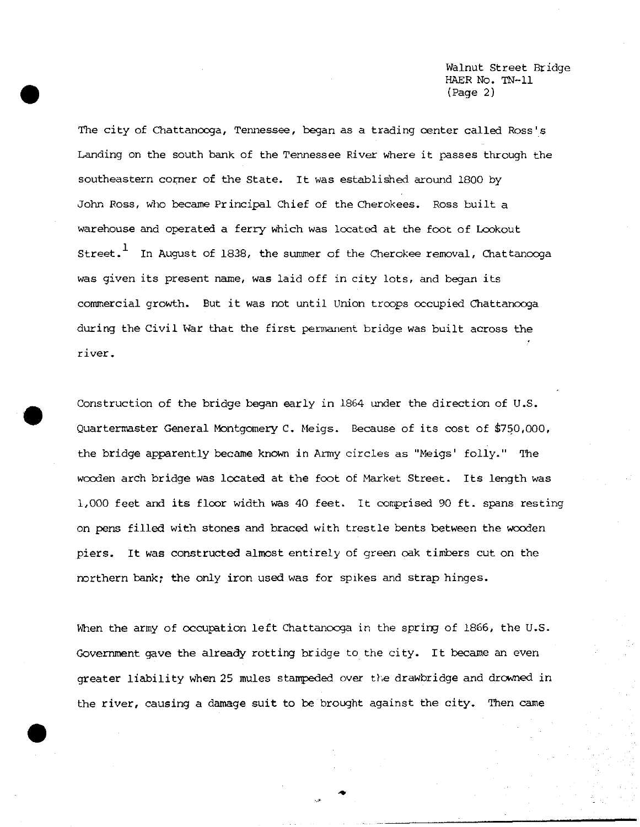Walnut Street Bridge HAER No. TN-11 (Page 2)

The city of Chattanooga, Tennessee, began as a trading center called Ross's Landing on the south bank of the Tennessee River where it passes through the southeastern corner of the State. It was established around 1800 by John Ross, who became Principal Chief of the Cherokees. Ross built a warehouse and operated a ferry which was located at the foot of Lookout Street.<sup>1</sup> In August of 1838, the summer of the Cherokee removal, Chattanooga was given its present name, was laid off in city lots, and began its commercial growth. But it was not until Union troops occupied Chattanooga during the Civil War that the first permanent bridge was built across the river.

Construction of the bridge began early in 1864 under the direction of U.S. Quartermaster General Montgomery C. Meigs. Because of its cost of \$750,000, the bridge apparently became known in Army circles as "Meigs' folly." The wooden arch bridge was located at the foot of Market Street. Its length was 1,000 feet and its floor width was 40 feet. It comprised 90 ft. spans resting on pens filled with stones and braced with trestle bents between the wooden piers. It was constructed almost entirely of green oak timbers cut on the northern bank; the only iron used was for spikes and strap hinges.

**•**

When the army of occupation left Chattanooga in the spring of 1866, the U.S. Government gave the already rotting bridge to the city. It became an even greater liability when 25 mules stampeded over the drawbridge and drowned in the river, causing a damage suit to be brought against the city. Then came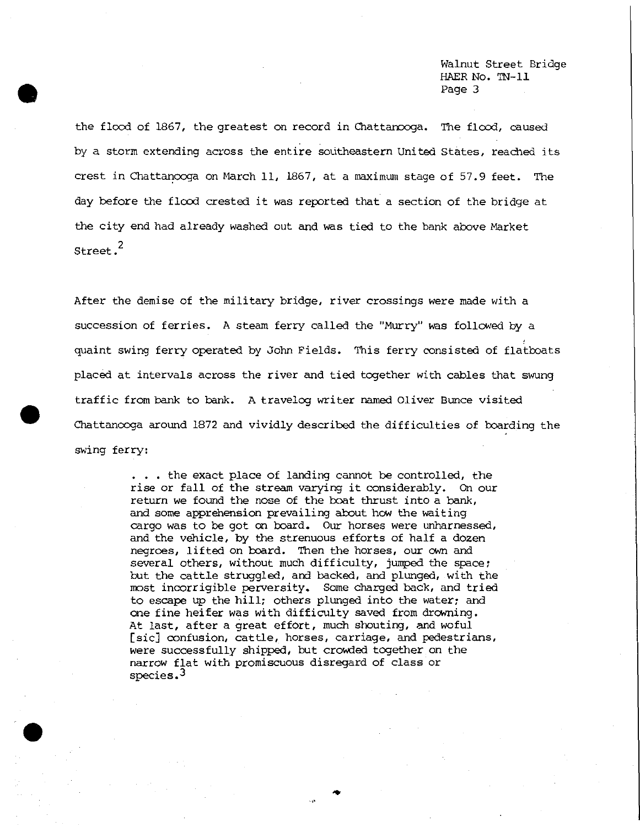Walnut Street Bridge HAER No. TN-11 Page 3

the flood of 1867/ the greatest on record in Chattanooga. The flood, caused by a storm extending across the entire southeastern United States, reached its crest in Chattanooga on March 11, 1867, at a maximum stage of 57.9 feet. The day before the flood crested it was reported that a section of the bridge at the city end had already washed out and was tied to the bank above Market Street.<sup>2</sup>

After the demise of the military bridge, river crossings were made with a succession of ferries. A steam ferry called the "Murry" was followed by a quaint swing ferry operated by John Fields. This ferry consisted of flatboats placed at intervals across the river and tied together with cables that swung traffic from bank to bank. A travelog writer named Oliver Bunce visited Chattanooga around 1872 and vividly described the difficulties of boarding the swing ferry:

> . . . the exact place of landing cannot be controlled, the rise or fall of the stream varying it considerably. On our return we found the nose of the boat thrust into a bank, and some apprehension prevailing about how the waiting cargo was to be got on board. Our horses were unharnessed, and the vehicle, by the strenuous efforts of half a dozen negroes, lifted on board. Then the horses, our own and several others, without much difficulty, jumped the space; but the cattle struggled, and backed, and plunged, with the most incorrigible perversity. Some charged back, and tried to escape up the hill; others plunged into the water; and one fine heifer was with difficulty saved from drowning. At last, after a great effort, much shouting, and woful [sic] confusion, cattle, horses, carriage, and pedestrians, were successfully shipped, but crowded together on the narrow flat with promiscuous disregard of class or species.<sup>3</sup>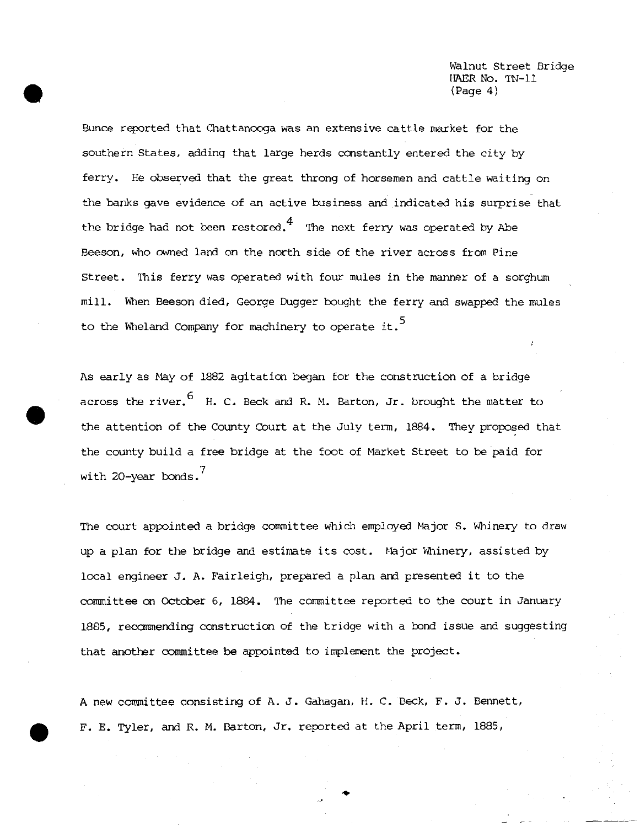Walnut Street Bridge HAER No. TN-11 (Page 4)

Bunce reported that Chattanooga was an extensive cattle market for the southern States, adding that large herds constantly entered the city by ferry. He observed that the great throng of horsemen and cattle waiting on the banks gave evidence of an active business and indicated his surprise that the bridge had not been restored. $^4\,$  The next ferry was operated by Abe Beeson, who owned land on the north side of the river across from Pine Street. This ferry was operated with four mules in the manner of a sorghum mill. When Beeson died, George Dugger bought the ferry and swapped the mules to the Wheland Company for machinery to operate it.<sup>5</sup>

As early as May of 1882 agitation began for the construction of a bridge across the river.  $6$  H. C. Beck and R. M. Barton, Jr. brought the matter to the attention of the County Court at the July term, 1884. They proposed that the county build a free bridge at the foot of Market Street to be paid for 7 with 20-year bonds.

The court appointed a bridge committee which employed Major S. Whinery to draw up a plan for the bridge and estimate its cost. Major Whinery, assisted by local engineer J. A. Fairleigh, prepared a plan and presented it to the committee on October 6, 1884. The committee reported to the court in January 18S5, recommending construction of the bridge with a bond issue and suggesting that another committee be appointed to implement the project.

A new committee consisting of A. J. Gahagan, H. C. Beck, F. J. Bennett, F. E. Tyler, and R. M. Barton, Jr. reported at the April term, 1885,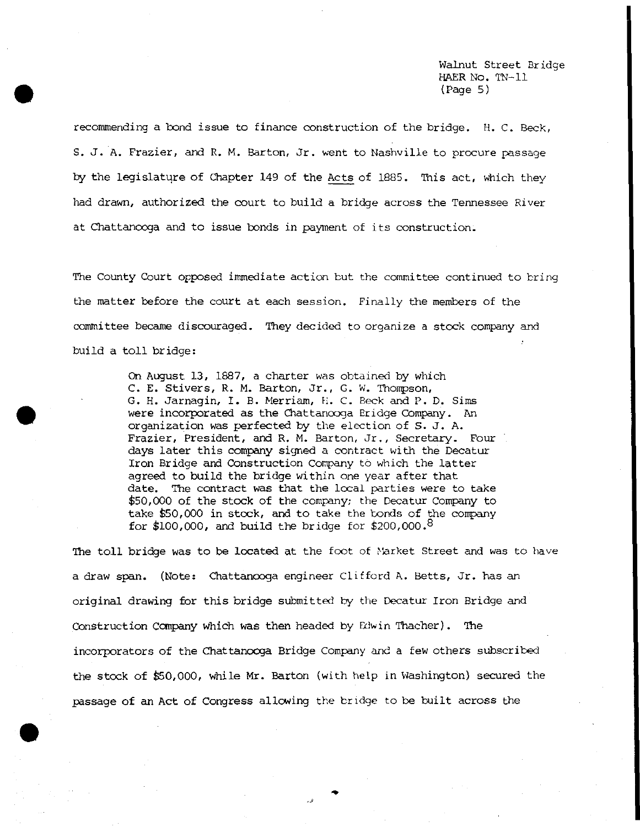Walnut Street Bridge HAER NO. TN-11 (Page 5)

recommending a bond issue to finance construction of the bridge. H. C. Beck, S. J. A. Frazier, and R. M. Barton, Jr. went to Nashville to procure passage by the legislature of Chapter 149 of the Acts of 1885. This act, which they had drawn, authorized the court to build a bridge across the Tennessee River at Chattanooga and to issue bonds in payment of its construction.

The County Court opposed immediate action but the committee continued to bring the matter before the court at each session. Finally the members of the committee became discouraged. They decided to organize a stock company and build a toll bridge:

> On August 13, 1887, a charter was obtained by which C. E. Stivers, R. M. Barton, Jr., G. W. Thompson, G. H. Jarnagin, I. B. Merriam, H. C. Beck and P. D. Sims were incorporated as the Chattanooga Eridge Company. An organization was perfected by the election of S. J. A. Frazier, President, and R. M. Barton, Jr., Secretary. Four days later this company signed a contract with the Decatur Iron Bridge and Construction Company to which the latter agreed to build the bridge within one year after that date. The contract was that the local parties were to take \$50,000 of the stock of the company; the Decatur Company to take £50,000 in stock, and to take the bonds of the company for \$100,000, and build the bridge for \$200,000.8

The toll bridge was to be located at the foot of Narket Street and was to have a draw span. (Note: Chattanooga engineer Clifford A. Betts, Jr. has an original drawing for this bridge submitted by the Decatur Iron Bridge and Construction Company which was then headed by Edwin Thacher). The incorporators of the Chattanooga Bridge Company and a few others subscribed the stock of \$50,000, While Mr. Barton (with help in Washington) secured the passage of an Act of Congress allowing the bridge to be built across the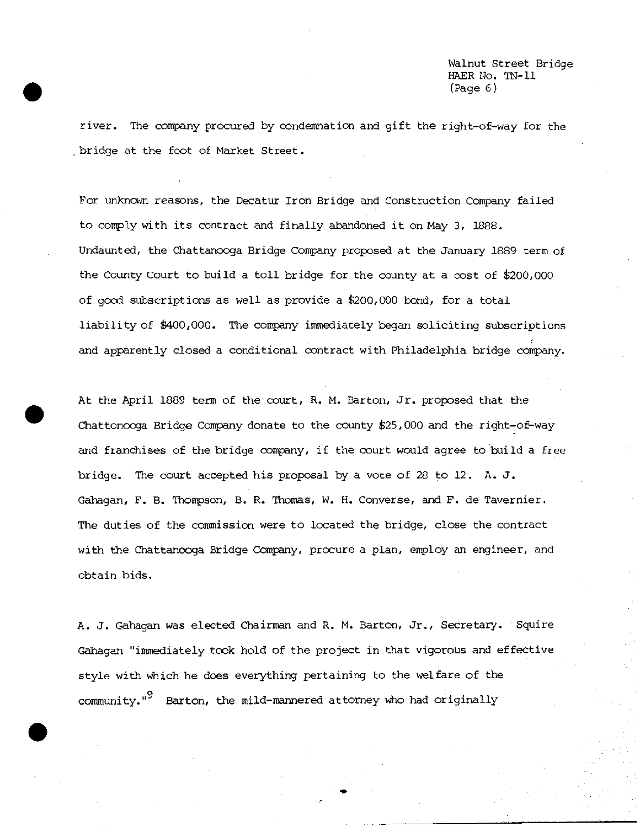Walnut Street Bridge HAER No. TN-11  $(Paqe 6)$ 

river. The company procured by condemnation and gift the right-of-way for the bridge at the foot of Market Street.

For unknown reasons, the Decatur Iron Bridge and Construction Company failed to comply with its contract and finally abandoned it on May 3, 1888. Undaunted, the Chattanooga Bridge Company proposed at the January 1889 term of the County Court to build a toll bridge for the county at a cost of £200,000 of good subscriptions as well as provide a \$200,000 bond, for a total liability of \$400,000. The company immediately began soliciting subscriptions and apparently closed a conditional contract with Philadelphia bridge company.

At the April 1889 term of the court, R. M. Barton, Jr. proposed that the Chattonooga Bridge Company donate to the county \$25,000 and the right-of-way and franchises of the bridge company, if the court would agree to build a free bridge. The court accepted his proposal by a vote of 28 to 12, A. J. Gahagan, F. B. Thompson, B. R. Thomas, W. H. Converse, and F. de Tavernier. The duties of the commission were to located the bridge, close the contract with the Chattanooga Bridge Company, procure a plan, employ an engineer, and obtain bids.

A. J. Gahagan was elected Chairman and R. M. Barton, Jr., Secretary. Squire Gahagan "immediately took hold of the project in that vigorous and effective style with which he does everything pertaining to the welfare of the community."<sup>9</sup> Barton, the mild-mannered attorney who had originally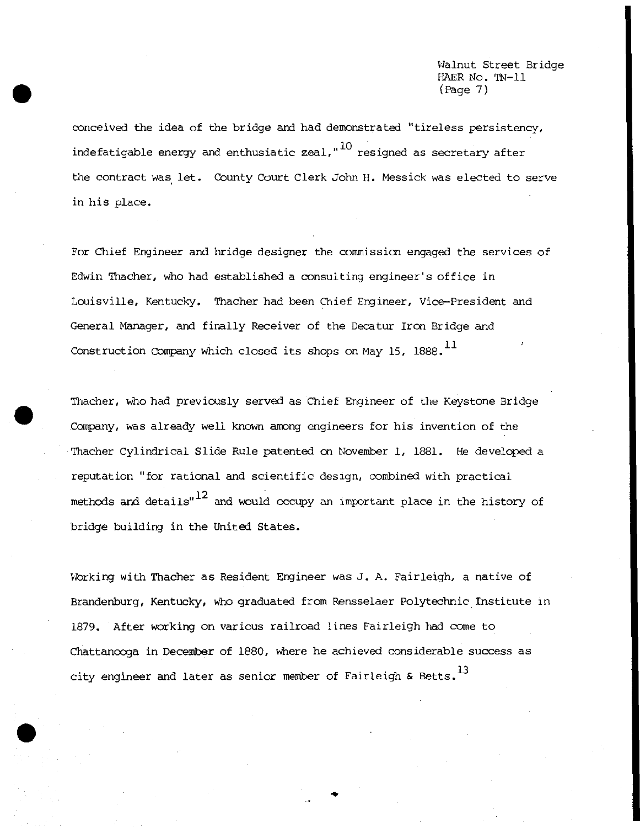Walnut Street Bridge HAER No. TN-11 (Page 7)

conceived the idea of the bridge and had demonstrated "tireless persistency, indefatigable energy and enthusiatic zeal,  $10$  resigned as secretary after the contract was let. County Court Clerk John H. Messick was elected to serve in his place.

For Chief Engineer and bridge designer the commission engaged the services of Edwin Thacher, who had established a consulting engineer's office in Louisville, Kentucky. Thacher had been Chief Engineer, Vice-President and General Manager, and finally Receiver of the Decatur Iron Bridge and Construction Company which closed its shops on May 15, 1888.<sup>11</sup>

Thacher, who had previously served as Chief Engineer of the Keystone Bridge Company, was already well known among engineers for his invention of the Thacher Cylindrical Slide Rule patented on November 1, 1881. He developed a reputation "for rational and scientific design, combined with practical methods and details" $12$  and would occupy an important place in the history of bridge building in the United States.

Working with Thacher as Resident Engineer was J. A. Fairleigh, a native of Brandenburg, Kentucky, who graduated from Rensselaer Polytechnic Institute in 1879. After working on various railroad lines Fairleigh had come to Chattanooga in December of 1880, where he achieved considerable success as city engineer and later as senior member of Fairleigh & Betts.<sup>13</sup>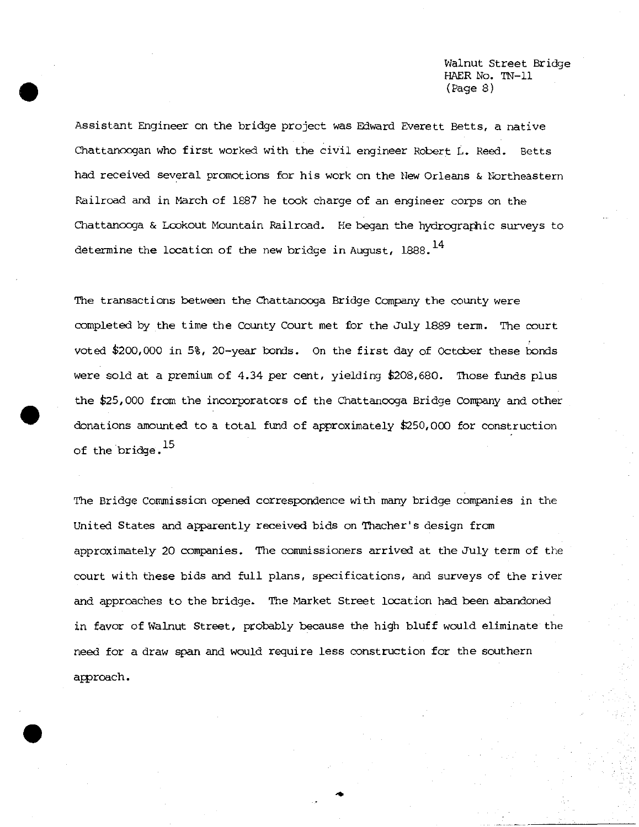Walnut Street Bridge HAER No. IN-11  $(Paqe 8)$ 

Assistant Engineer on the bridge project was Edward Everett Betts, a native Chattanoogan who first worked with the civil engineer Robert L. Reed. Betts had received several promotions for his work on the New Orleans & Northeastern Railroad and in March of 1S87 he took charge of an engineer corps on the Chattanooga & Lookout Mountain Railroad. He began the hydrographic surveys to determine the location of the new bridge in August,  $1888.$ <sup>14</sup>

The transactions between the Chattanooga Bridge Company the county were completed by the time the County Court met for the July 1889 term. The court voted \$200,000 in 5%, 20-year bonds. On the first day of October these bonds were sold at a premium of 4.34 per cent, yielding \$208,680. Those funds plus the \$25,000 from the incorporators of the Chattanooga Bridge Company and other donations amounted to a total fund of approximately \$250,000 for construction of the bridge.<sup>15</sup>

The Bridge Commission opened correspondence with many bridge companies in the United States and apparently received bids on Thacher's design from approximately 20 companies. The commissioners arrived at the July term of the court with these bids and full plans, specifications, and surveys of the river and approaches to the bridge. The Market Street location had been abandoned in favor of Walnut Street, probably because the high bluff would eliminate the need for a draw span and would require less construction for the southern approach.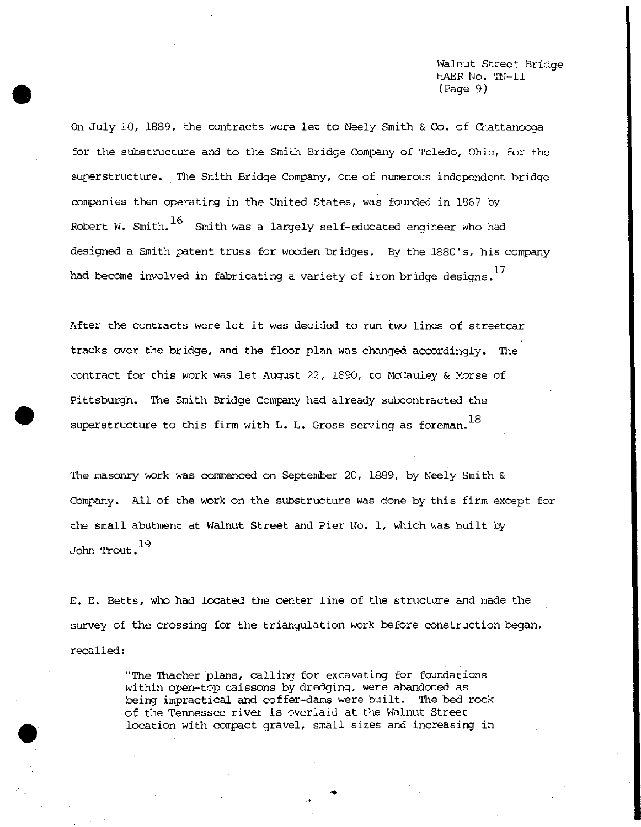Walnut Street Bridge HAER No. TN-11 (Page 9)

On July 10, 1889/ the contracts were let to Neely Smith & Co. of Chattanooga for the substructure and to the Smith Bridge Company of Toledo, Ohio, for the superstructure. The Smith Bridge Company, one of numerous independent bridge companies then operating in the United States, was founded in 1867 by Robert W. Smith.  $^{16}$  Smith was a largely self-educated engineer who had designed a Smith patent truss for wooden bridges. By the 1880's, his company had become involved in fabricating a variety of iron bridge designs.

After the contracts were let it was decided to run two lines of streetcar tracks over the bridge, and the floor plan was changed accordingly. The contract for this work was let August 22, 1890, to McCauley & Morse of Pittsburgh. The Smith Bridge Company had already subcontracted the superstructure to this firm with L. L. Gross serving as foreman.  $^{18}$ 

The masonry work was commenced on September 20, 1889, by Neely Smith & Company. All of the work on the substructure was done by this firm except for the small abutment at Walnut Street and Pier No. 1, which was built by John Trout.<sup>19</sup>

E. E. Betts, who had located the center line of the structure and made the survey of the crossing for the triangulation work before construction began, recalled:

> "The Thacher plans, calling for excavating for foundations within open-top caissons by dredging, were abandoned as being impractical and coffer-dams were built. The bed rock of the Tennessee river is overlaid at the Walnut Street location with compact gravel, small sizes *and* increasing in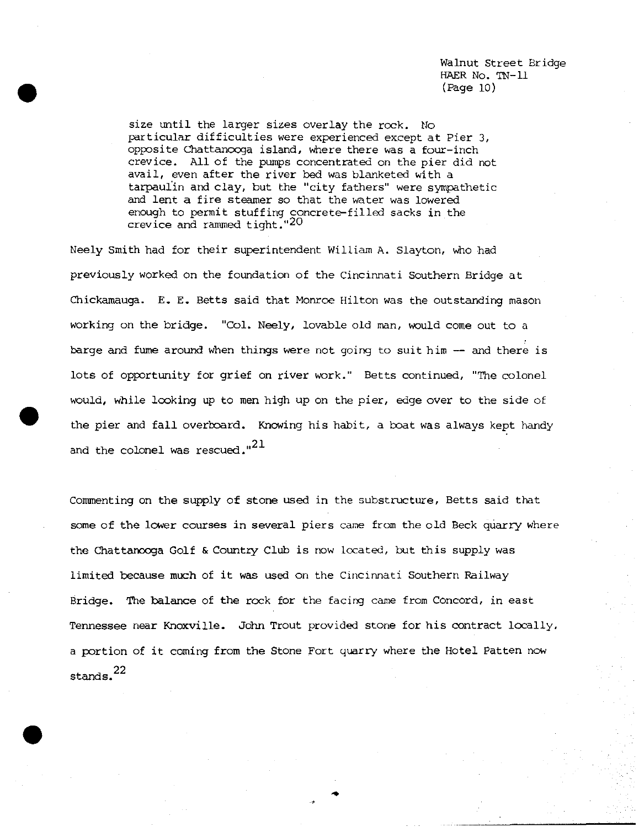Walnut Street Bridge HAER No. TN-11 (Page 10)

size until the larger sizes overlay the rock. No particular difficulties were experienced except at Pier 3, opposite Chattanooga island. Where there was a four-inch crevice. All of the pumps concentrated on the pier did not avail, even after the river bed was blanketed with a tarpaulin and clay, but the "city fathers" were sympathetic and lent a fire steamer so that the water was lowered enough to permit stuffing concrete-filled sacks in the crevice and rammed tight."20

Neely Smith had for their superintendent William A. Slayton, who had previously worked on the foundation of the Cincinnati Southern Bridge at Chickamauga. E. E. Betts said that Monroe Hilton was the outstanding mason working on the bridge. "Col. Neely, lovable old man, would come out to a barge and fume around when things were not going to suit him — and there is lots of opportunity for grief on river work." Betts continued, "The colonel would, While looking up to men high up on the pier, edge over to the side of the pier and fall overboard. Knowing his habit, a boat was always kept handy and the colonel was rescued." $^{21}$ 

Commenting on the supply of stone used in the substructure, Betts said that some of the lower courses in several piers came from the old Beck quarry where the Chattanooga Golf & Country Club is now located, but this supply was limited because much of it was used on the Cincinnati Southern Railway Bridge. The balance of the rock for the facing came from Concord, in east Tennessee near Knoxville. John Trout provided stone for his contract locally, a portion of it coming from the Stone Fort quarry where the Hotel Patten now <sup>22</sup> stands.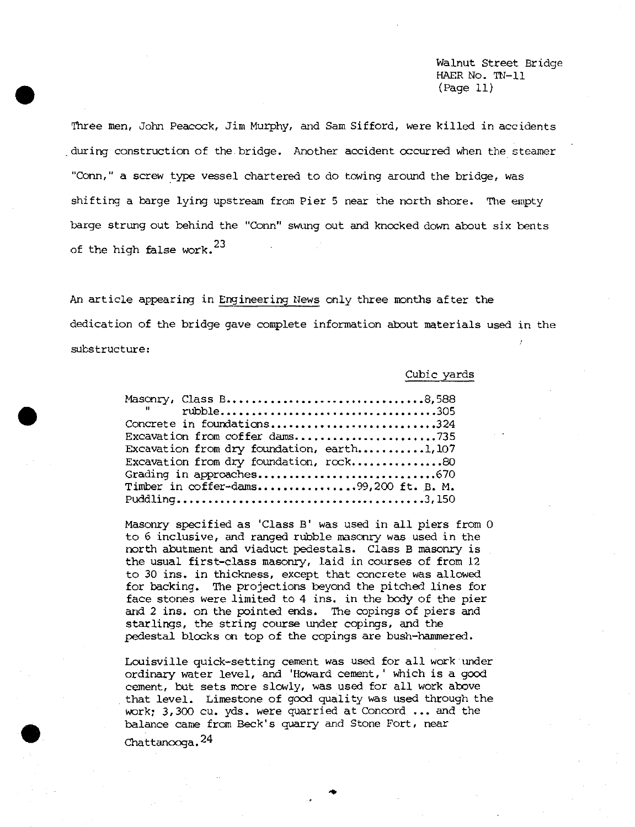Walnut Street Bridge HAER No. TN-11 (Page 11)

Three men, John Peacock, Jim Murphy, and Sam Sifford, were killed in accidents during construction of the bridge. Another accident occurred when the steamer "Conn," a screw type vessel chartered to do towing around the bridge, was shifting a barge lying upstream from Pier 5 near the north shore. The empty barge strung out behind the "Conn" swung out and knocked down about six bents of the high false work. $^{23}$ 

An article appearing in Engineering News only three months after the dedication of the bridge gave complete information about materials used in the substructure:

### Cubic yards

| Masonry, Class B8,588                      |
|--------------------------------------------|
| $\mathbf{H}$ and $\mathbf{H}$              |
| Concrete in foundations324                 |
| Excavation from coffer dams735             |
| Excavation from dry foundation, earth1,107 |
| Excavation from dry foundation, rock80     |
| Grading in approaches670                   |
| Timber in coffer-dams99,200 ft. B. M.      |
|                                            |

Masonry specified as 'Class B" was used in all piers from 0 to 6 inclusive, and ranged rubble masonry was used in the north abutment and viaduct pedestals. Class B masonry is the usual first-class masonry, laid in courses of from 12 to 30 ins, in thickness, except that concrete was allowed for backing. The projections beyond the pitched lines for face stones were limited to 4 ins. in the body of the pier and 2 ins. on the pointed ends. The copings of piers and starlings, the string course under copings, and the pedestal blocks on top of the copings are bush-hammered.

Louisville quick-setting cement was used for all work under ordinary water level, and 'Howard cement, ' which is a good cement, but sets more slowly, was used for all work above that level. Limestone of good quality was used through the work; 3,300 cu. yds. were quarried at Concord ... and the balance came from Beck's quarry and Stone Fort, near Chattan $\infty$ ga. $^{24}$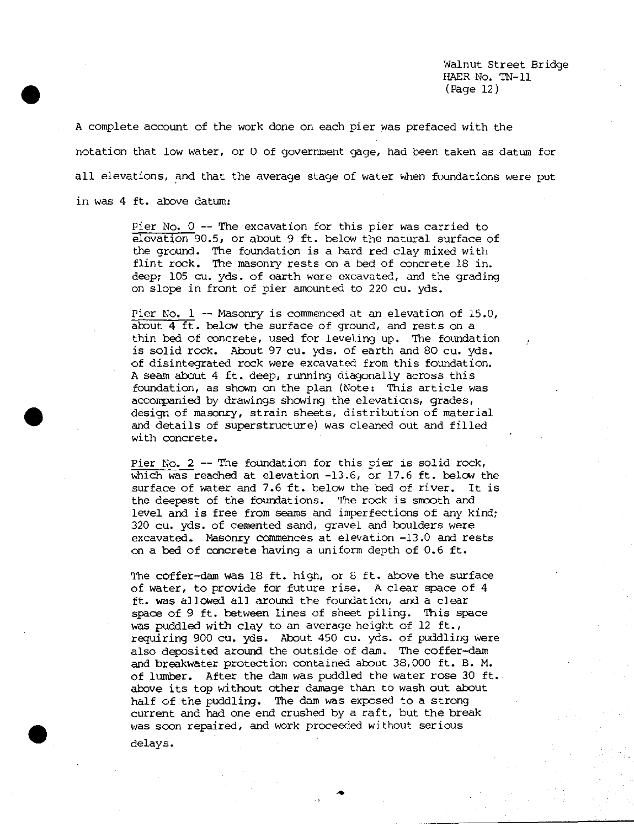Walnut Street Bridge HAER No. IN-11 (Page 12)

A complete account of the work done on each pier was prefaced with the notation that low water, or 0 of government gage, had been taken as datum for all elevations, and that the average stage of water when foundations were put in was 4 ft. above datum:

> Pier No. <sup>0</sup> — The excavation for this pier was carried to elevation 90.5, or about 9 ft. below the natural surface of the ground. The foundation is a hard red clay mixed with flint rock. The masonry rests on a bed of concrete 18 in. deep; 105 cu. yds. of earth were excavated, and the grading on slope in front of pier amounted to 220 cu. yds.

> Pier No. <sup>1</sup> — Masonry is commenced at an elevation of 15.0, about 4 ft. below the surface of ground, and rests on a thin bed of concrete, used for leveling up. The foundation is solid rock. About 97 cu. yds. of earth and 80 cu. yds. of disintegrated rock were excavated from this foundation. A seam about 4 ft. deep, running diagonally across this foundation, as shown on the plan (Note: This article was accompanied by drawings showing the elevations, grades, design of masonry, strain sheets, distribution of material and details of superstructure) was cleaned out and filled with concrete.

> Pier No. <sup>2</sup> — The foundation for this pier is solid rock, which was reached at elevation -13.6, or 17.6 ft. below the surface of water and 7.6 ft. below the bed of river. It is the deepest of the foundations. The rock is smooth and level and is free from seams and imperfections of any kind; 320 cu. yds. of cemented sand, gravel and boulders were excavated. Masonry commences at elevation -13.0 and rests on a bed of concrete having a uniform depth of 0.6 ft.

> The coffer-dam was 18 ft. high, or 8 ft. above the surface of water, to provide for future rise. A clear space of 4 ft. was allowed all around the foundation, and a clear space of 9 ft. between lines of sheet piling. This space was puddled with clay to an average height of 12 ft., requiring 900 cu. yds. About 450 cu. yds. of puddling were also deposited around the outside of dam. The coffer-dam and breakwater protection contained about 38,000 ft. B. M. of lumber- After the dam was puddled the water rose 30 ft. above its top without other damage than to wash out about half of the puddling. The dam was exposed to a strong current and had one end crushed by a raft, but the break was soon repaired, and work proceeded without serious delays.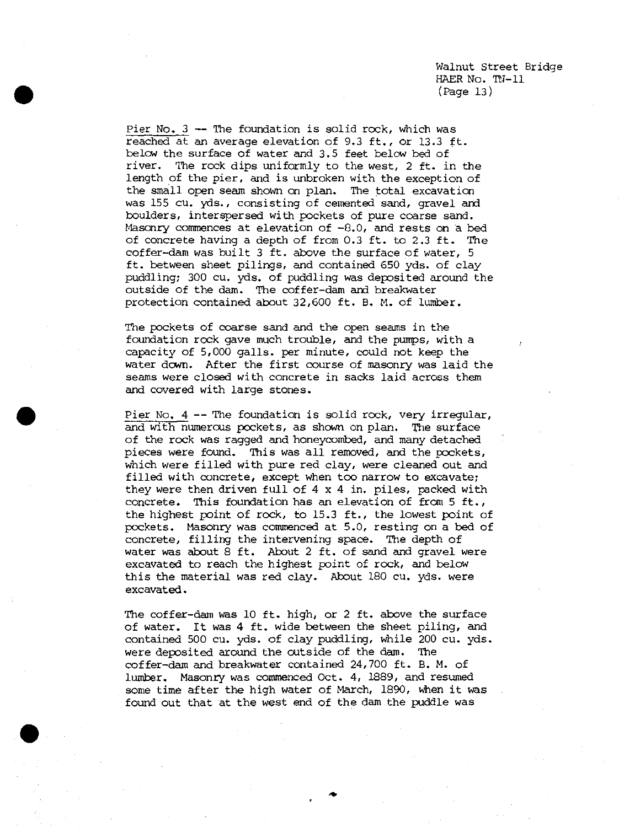Pier No. <sup>3</sup> — The foundation is solid rock. Which was reached at an average elevation of 9.3 ft., or 13.3 ft. below the surface of water and 3.5 feet below bed of river. The rock dips uniformly to the west, 2 ft. in the length of the pier, and is unbroken with the exception of the small open seam shown on plan. The total excavation was 155 cu. yds., consisting of cemented sand, gravel and boulders, interspersed with pockets of pure coarse sand. Masonry commences at elevation of -8.0, and rests on a bed of concrete having a depth of from 0.3 ft. to 2.3 ft. The coffer-dam was built 3 ft. above the surface of water, 5 ft. between sheet pilings, and contained 650 yds. of clay puddling; 300 cu. yds. of puddling was deposited around the outside of the dam. The coffer-dam and breakwater protection contained about 32,600 ft. B. M. of lumber.

The pockets of coarse sand and the open seams in the foundation rock gave much trouble, and the pumps, with a capacity of 5,000 galls, per minute, could not keep the water down. After the first course of masonry was laid the seams were closed with concrete in sacks laid across them and covered with large stones.

Pier No. <sup>4</sup> — The foundation is solid rock, very irregular, and with numerous pockets, as shown on plan. The surface of the rock was ragged and honeycombed, and many detached pieces were found. This was all removed, and the pockets, which were filled with pure red clay, were cleaned out and filled with concrete, except when too narrow to excavate; they were then driven full of 4 x 4 in. piles, packed with concrete. This foundation has an elevation of from 5 ft., the highest point of rock, to 15.3 ft., the lowest point of pockets. Masonry was commenced at 5.0, resting on a bed of concrete, filling the intervening space. The depth of water was about 8 ft. About 2 ft. of sand and gravel were excavated to reach the highest point of rock, and below this the material was red clay. About 180 cu. yds. were excavated.

The coffer-dam was 10 ft. high, or 2 ft. above the surface of water. It was 4 ft. wide between the sheet piling, and contained 500 cu. yds. of clay puddling, while 200 cu. yds. were deposited around the outside of the dam. The coffer-dam and breakwater contained 24,700 ft. B. M. of lumber. Masonry was commenced Oct. 4, 1889, and resumed some time after the high water of March, 1890, when it was found out that at the west end of the dam the puddle was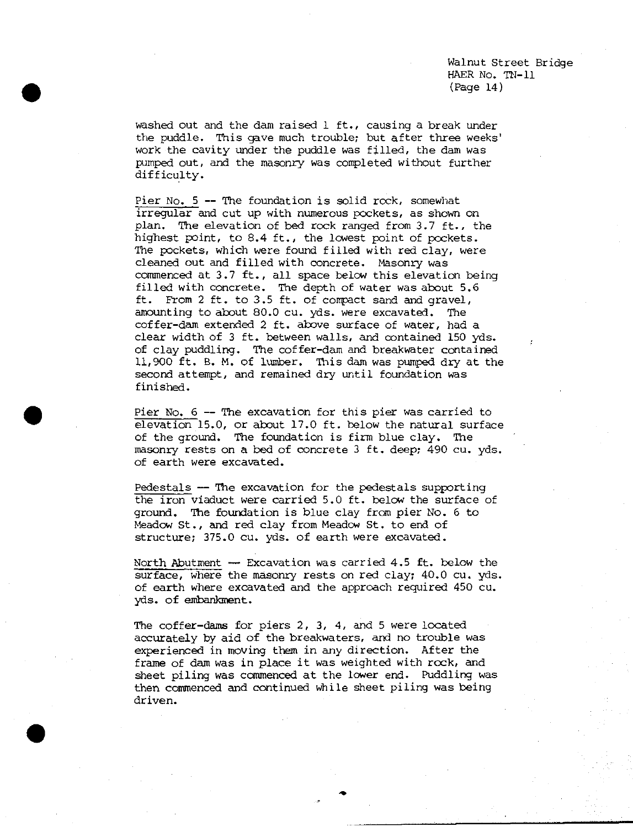Walnut Street Bridge HAER No. TN-11 (Page 14)

washed out and the dam raised 1 ft., causing a break under the puddle. This gave much trouble; but after three weeks' work the cavity under the puddle was filled, the dam was pumped out, and the masonry was completed without further difficulty.

Pier No.  $5$  -- The foundation is solid rock, somewhat irregular and cut up with numerous pockets, as shown on plan. The elevation of bed rock ranged from 3.7 ft., the highest point, to 8.4 ft., the lowest point of pockets. The pockets, which were found filled with red clay, were cleaned out and filled with concrete. Masonry was commenced at 3.7 ft., all space below this elevation being filled with concrete. The depth of water was about 5.6 ft. From 2 ft. to 3.5 ft. of compact sand and gravel, amounting to about 80.0 cu. yds. were excavated. The coffer-dam extended 2 ft. above surface of water, had a clear width of 3 ft. between walls, and contained 150 yds. of clay puddling. The coffer-dam and breakwater contained 11,900 ft. B. M. of lumber. This dam was pumped dry at the second attempt, and remained dry until foundation was finished.

Pier No. <sup>6</sup> — The excavation for this pier was carried to elevation 15.0, or about 17.0 ft. below the natural surface of the ground. The foundation is firm blue clay. The masonry rests on a bed of concrete <sup>3</sup> ft. deep; 490 cu. yds. of earth were excavated.

Pedestals — The excavation for the pedestals supporting the iron viaduct were carried 5.0 ft. below the surface of ground. The foundation is blue clay from pier No. 6 to Meadow St., and red clay from Meadow St. to end of structure; 375.0 cu. yds. of earth were excavated.

North Abutment — Excavation was carried 4.5 ft. below the surface, where the masonry rests on red clay; 40.0 cu. yds. of earth where excavated and the approach required 450 cu. yds. of embankment.

The coffer-dams for piers 2, 3, 4, and 5 were located accurately by aid of the breakwaters, and *no* trouble was experienced in moving them in any direction. After the frame of dam was in place it was weighted with rock, and sheet piling was commenced at the lower end. Puddling was then commenced and continued while sheet piling was being driven.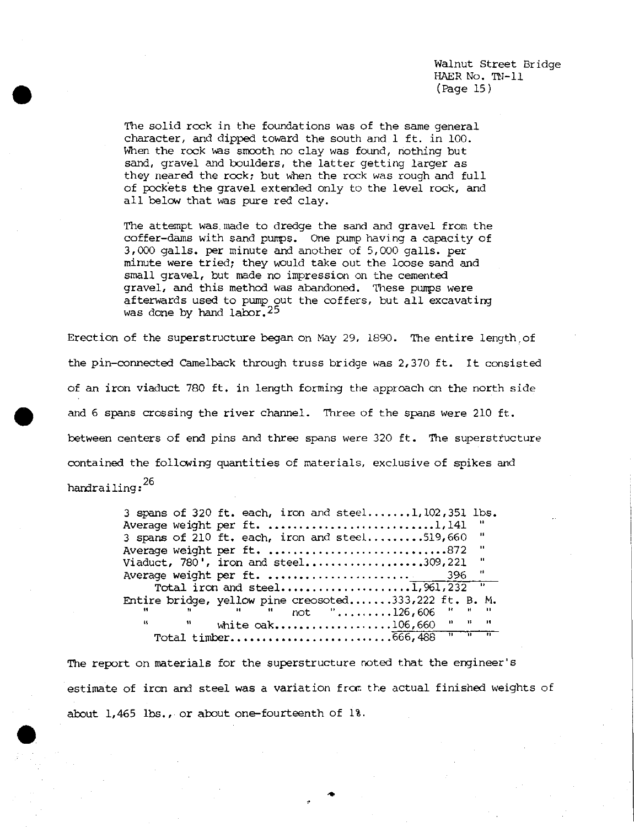Walnut Street Bridge HAER No. TN-11 (Page 15)

The solid rock in the foundations was of the same general character, and dipped toward the south and.l ft. in 100. When the rock was smooth no clay was found, nothing but sand, gravel and boulders, the latter getting larger as they neared the rock; but when the rock was rough and full of pockets the gravel extended only to the level rock, and all below that was pure red clay.

The attempt was. made to dredge the sand and gravel from the coffer-dams with sand pumps. One pump having a capacity of 3,000 galls, per minute and another of 5,000 galls, per minute were tried; they would take out the loose sand and small gravel, but made no impression on the cemented gravel, and this method was abandoned. These pumps were afterwards used to pump out the coffers, but all excavating was done by hand labor.<sup>25</sup>

Erection of the superstructure began on May 29, 1890. The entire length,of the pin-connected Camelback through truss bridge was 2,370 ft. It consisted of an iron viaduct 780 ft. in length forming the approach on the north side and 6 spans crossing the river channel. Three of the spans were 210 ft. between centers of end pins and three spans were 320 ft. The superstructure contained the following quantities of materials, exclusive of spikes and handrailing:

> 3 spans of 320 ft. each, iron and steel.......1,  $102,351$  lbs. Average weight per ft 1,141 3 spans of  $210$  ft. each, iron and steel.........519,660  $\mathbf{u}$ Average weight per ft. ................................872  $\mathbf{u}$ Viaduct,  $780'$ , iron and steel....................309,221 Average weight per ft 396 Total iron and steel 1,961,232 Entire bridge, yellow pine creosoted.......333,222 ft. B. M. "  $not$  ".........126,606  $\mathbf{a}$ white  $oak$ ..................106,660  $\mathbf{n}$  $\mathbf{H}$ Total timber 666,488 " " "

The report on materials for the superstructure noted that the engineer's estimate of iron and steel was a variation from the actual finished weights of about 1,465 lbs., or about one-fourteenth of 1%.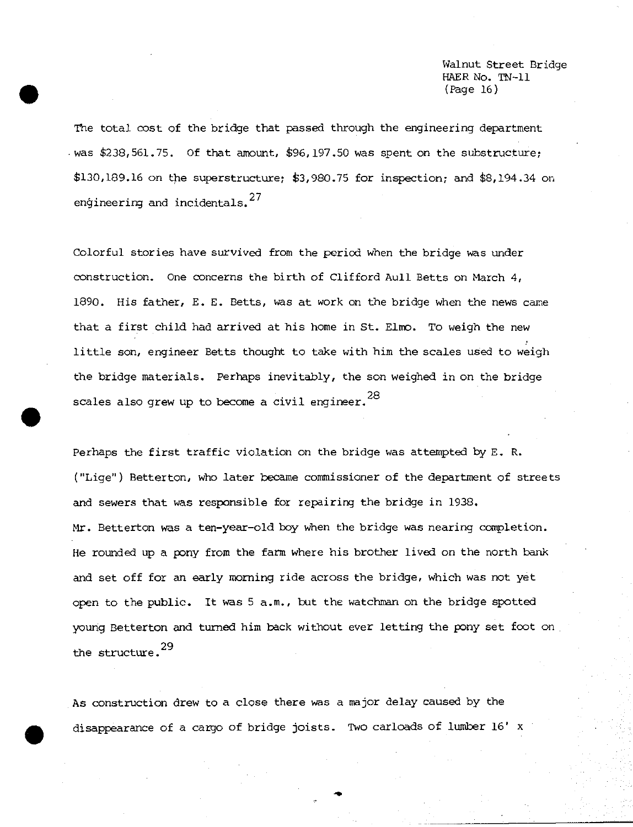Walnut Street Bridge HAER No. TN-11 (Page 16)

The total cost of the bridge that passed through the engineering department was  $$238,561.75$ . Of that amount,  $$96,197.50$  was spent on the substructure; \$130,189.16 on the superstructure; £3,980.75 for inspection; and \$8,194.34 on engineering and incidentals.<sup>27</sup>

Colorful stories have survived from the period when the bridge was under construction. One concerns the birth of Clifford Aull Betts on March 4, 1890. His father, E. E. Betts, was at work on the bridge when the news came that a first child had arrived at his home in St. Elmo. To weigh the new little son, engineer Betts thought to take with him the scales used to weigh the bridge materials. Perhaps inevitably, the son weighed in on the bridge scales also grew up to become a civil engineer.  $^{28}$ 

Perhaps the first traffic violation on the bridge was attempted by E. R. ("Lige") Betterton, who later became commissioner of the department of streets and sewers that was responsible for repairing the bridge in 1938. Mr. Betterton was a ten-year-old boy when the bridge was nearing completion. He rounded up a pony from the farm where his brother lived on the north bank and set off for an early morning ride across the bridge, which was not yet open to the public. It was 5 a.m., but the watchman on the bridge spotted young Betterton and turned him back without ever letting the pony set foot on the structure.<sup>29</sup>

As construction drew to a close there was a major delay caused by the disappearance of a cargo of bridge joists. Two carloads of lumber 16' x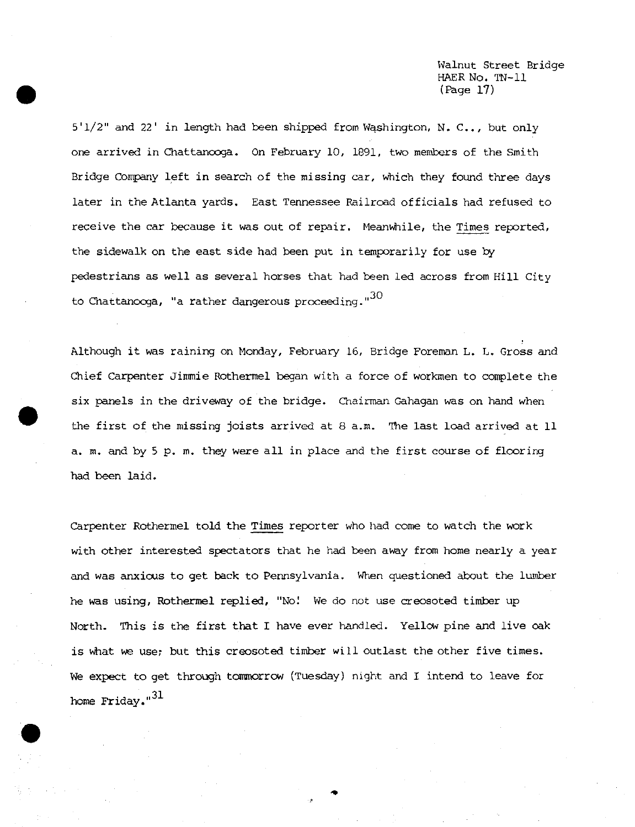Walnut Street Bridge HAER No. TN-11 (Page 17)

 $5'1/2''$  and 22' in length had been shipped from Washington, N. C.., but only one arrived in Chattanooga. On February 10, 1891, two members of the Smith Bridge Company left in search of the missing car, which they found three days later in the Atlanta yards. East Tennessee Railroad officials had refused to receive the car because it was out of repair. Meanwhile, the Times reported, the sidewalk on the east side had been put in temporarily for use by pedestrians as well as several horses that had been led across from Hill City to Chattanooga, "a rather dangerous proceeding." $30$ 

Although it was raining on Monday, February 16, Bridge Foreman L. L. Gross and Chief Carpenter Jimmie Rothermel began with a force of workmen to complete the six panels in the driveway of the bridge. Chairman Gahagan was on hand when the first of the missing joists arrived at 8 a.m. The last load arrived at 11 a. m. and by <sup>5</sup> p. m. they were all in place and the first course of flooring had been laid.

Carpenter Rothermel told the Times reporter who had come to watch the work with other interested spectators that he had been away from home nearly a year and was anxious to get back to Pennsylvania. When questioned about the lumber he was using, Rothermel replied, "No! We do not use creosoted timber up North. This is the first that I have ever handled. Yellow pine and live oak is what we use; but this creosoted timber will outlast the other five times. We expect to get through tommorrow (Tuesday) night and I intend to leave for home Friday."<sup>31</sup>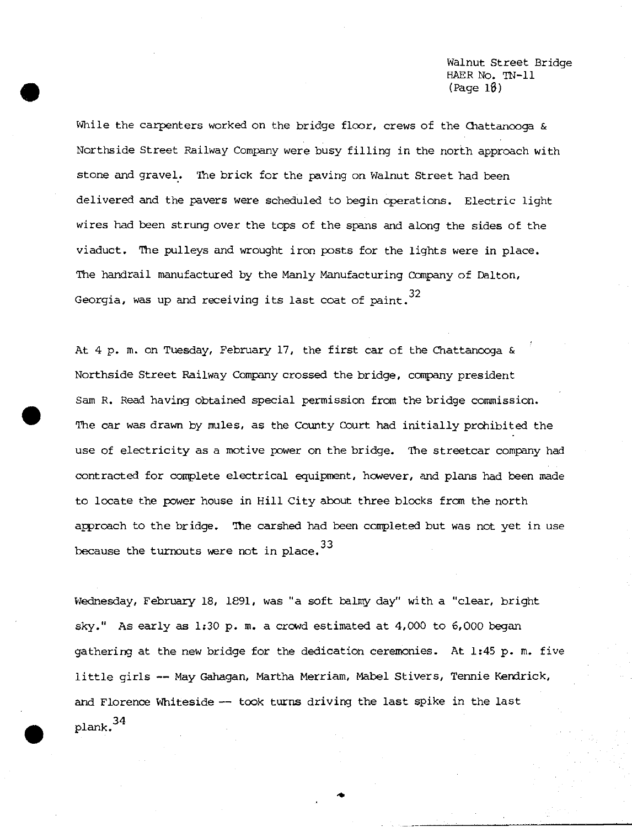Walnut Street Bridge HAER No. TN-11 (Page 18)

While the carpenters worked on the bridge floor, crews of the Chattanooga & Northside Street Railway Company were busy filling in the north approach with stone and gravel. The brick for the paving on Walnut Street had been delivered and the pavers were scheduled to begin operations. Electric light wires had been strung over the tops of the spans and along the sides of the viaduct. The pulleys and wrought iron posts for the lights were in place. The handrail manufactured by the Manly Manufacturing Company of Dalton, Georgia, was up and receiving its last coat of paint.  $32$ 

At 4 p. m. on Tuesday, February 17, the first car of the Chattanooga & Northside Street Railway Company crossed the bridge, company president Sam R. Read having obtained special permission from the bridge commission. The car was drawn by mules, as the County Court had initially prohibited the use of electricity as a motive power on the bridge. The streetcar company had contracted for complete electrical equipment, however, and plans had been made to locate the power house in Hill City about three blocks from the north approach to the bridge. The carshed had been completed but was not yet in use because the turnouts were not in place.  $33$ 

Wednesday, February 18, 1891, was "a soft balmy day" with a "clear, bright sky." As early as 1:30 p. m. a crowd estimated at 4,000 to 6,000 began gathering at the new bridge for the dedication ceremonies- At 1:45 p. m. five little girls — May Gahagan, Martha Merriam, Mabel Stivers, Tennie Kendrick, and Florence Whiteside — took turns driving the last spike in the last  $_{\rm plank.}$ <sup>34</sup>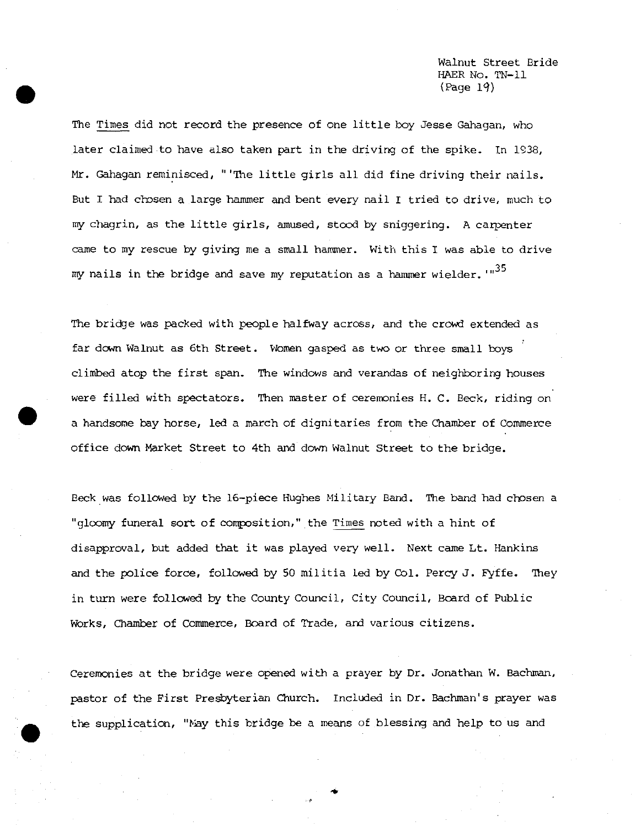Walnut Street Bride HAER No. TN-11  $(Page 19)$ 

The Times did not record the presence of one little boy Jesse Gahagan, who later claimed to have also taken part in the driving of the spike. In 1938, Mr. Gahagan reminisced, " 'The little girls all did fine driving their nails. But I had chosen a large hammer and bent every nail <sup>I</sup> tried to drive, much to my chagrin, as the little girls, amused, stood by sniggering. A carpenter came to my rescue by giving me a small hammer. With this <sup>I</sup> was able to drive my nails in the bridge and save my reputation as a hammer wielder.'"<sup>35</sup>

The bridge was packed with people halfway across, and the crowd extended as far down Walnut as 6th Street. Women gasped as two or three small boys climbed atop the first span. The windows and verandas of neighboring houses were filled with spectators. Then master of ceremonies H. C. Beck, riding on a handsome bay horse, led a march of dignitaries from the Chamber of Commerce office down Market Street to 4th and down Walnut Street to the bridge.

Beck was followed by the 16-piece Hughes Military Band. The band had chosen a "gloomy funeral sort of composition," the Times noted with a hint of disapproval, but added that it was played very well. Next came Lt. Hankins and the police force, followed by 50 militia led by Col. Percy J. Fyffe. They in turn were followed by the County Council, City Council, Board of Public Works, Chamber of Commerce, Board of Trade, and various citizens.

Ceremonies at the bridge were opened with a prayer by Dr. Jonathan W. Bachman, pastor of the First Presbyterian Church. Included in Dr. Bachman's prayer was the supplication, "May this bridge be a means of blessing and help to us and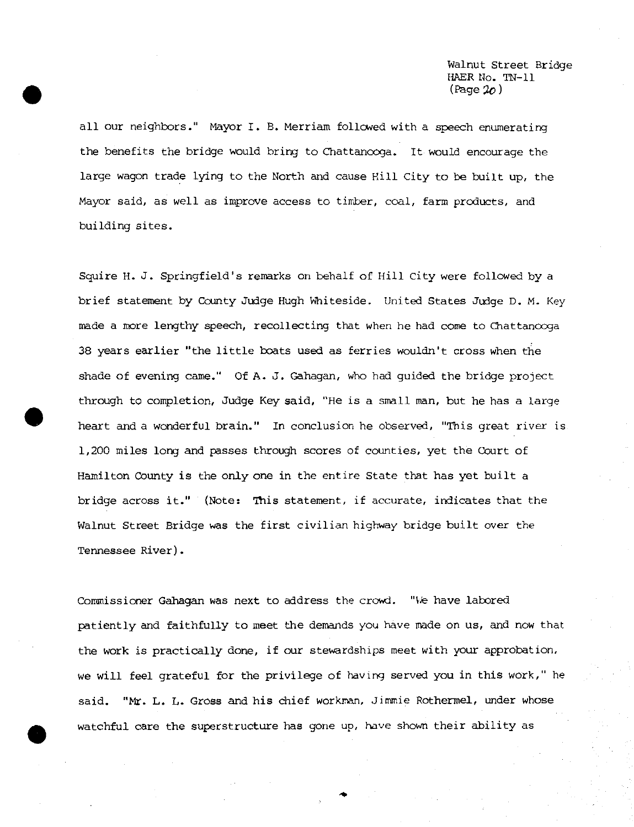Walnut Street Bridge HAER No. TN-11  $(Page 20)$ 

all our neighbors." Mayor I. B. Merriam followed with a speech enumerating the benefits the bridge would bring to Chattanooga. It would encourage the large wagon trade lying to the North and cause Hill City to be built up, the Mayor said, as well as improve access to timber, coal, farm products, and building sites.

Squire H. J. Springfield's remarks on behalf of Hill City were followed by a brief statement by County Judge Hugh Whiteside. United States Judge D. M. Key made a more lengthy speech, recollecting that when he had come to Chattanooga 38 years earlier "the little boats used as ferries wouldn't cross when the shade of evening came." Of A. J. Gahagan, who had guided the bridge project through to completion, Judge Key said, "He is a small man, but he has a large heart and a wonderful brain." In conclusion he observed, "This great river is 1/200 miles long and passes through scores of counties, yet the Court of Hamilton County is the only one in the entire State that has yet built a bridge across it." {Note: This statement, if accurate, indicates that the Walnut Street Bridge was the first civilian highway bridge built over the Tennessee River).

Commissioner Gahagan was next to address the crowd. "We have labored patiently and faithfully to meet the demands you have made on us, and now that the work is practically done, if our stewardships meet with your approbation, we will feel grateful for the privilege of having served you in this work," he said. "Mr. L. L. Gross and his chief workman, Jimmie Rothermel, under whose watchful care the superstructure has gone up, have shown their ability as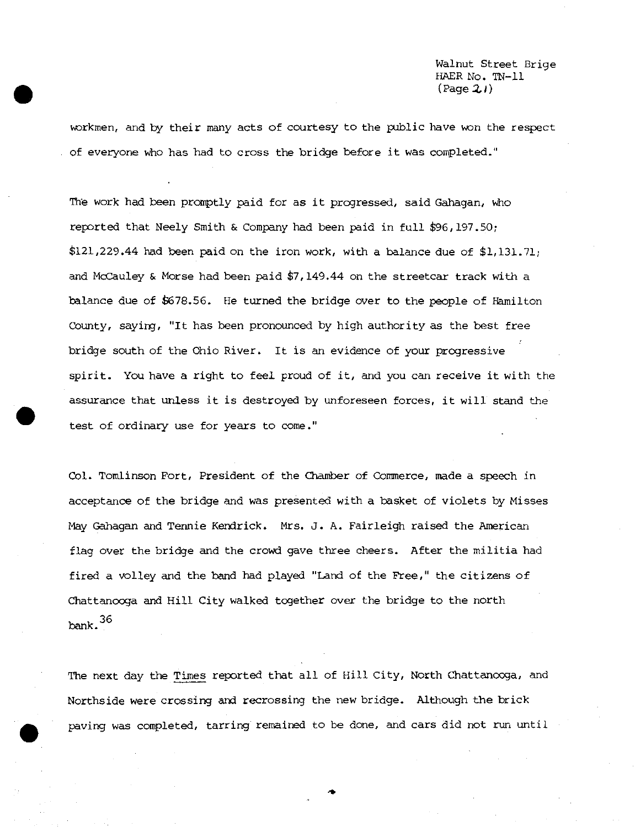Walnut Street Brige HAER No. TN-11 (Page *ZI)*

workmen, and by their many acts of courtesy to the public have won the respect of everyone who has had to cross the bridge before it was completed."

The work had been promptly paid for as it progressed, said Gahagan, who reported that Neely Smith & Company had been paid in full \$96,197.50; \$121,229.44 had been paid on the iron work, with a balance due of \$1,131.71; and McCauley & Morse had been paid \$7,149.44 on the streetcar track with a balance due of \$678.56. He turned the bridge over to the people of Hamilton County, saying, "It has been pronounced by high authority as the best free bridge south of the Ohio River. It is an evidence of your progressive spirit. You have a right to feel proud of it, and you can receive it with the assurance that unless it is destroyed by unforeseen forces, it will stand the test of ordinary use for years to come."

Col. Tomlinson Fort, President of the Chamber of Commerce, made a speech in acceptance of the bridge and was presented with a basket of violets by Misses May Gahagan and Tennie Kendrick. Mrs. J. A. Fairleigh raised the American flag over the bridge and the crowd gave three cheers. After the militia had fired a volley and the band had played "Land of the Free," the citizens of Chattanooga and Hill City walked together over the bridge to the north  $bank.$ <sup>36</sup>

The next day the Times reported that all of Hill City, North Chattanooga, and Northside were crossing and recrossing the new bridge. Although the brick paving was completed, tarring remained to be done, and cars did not run until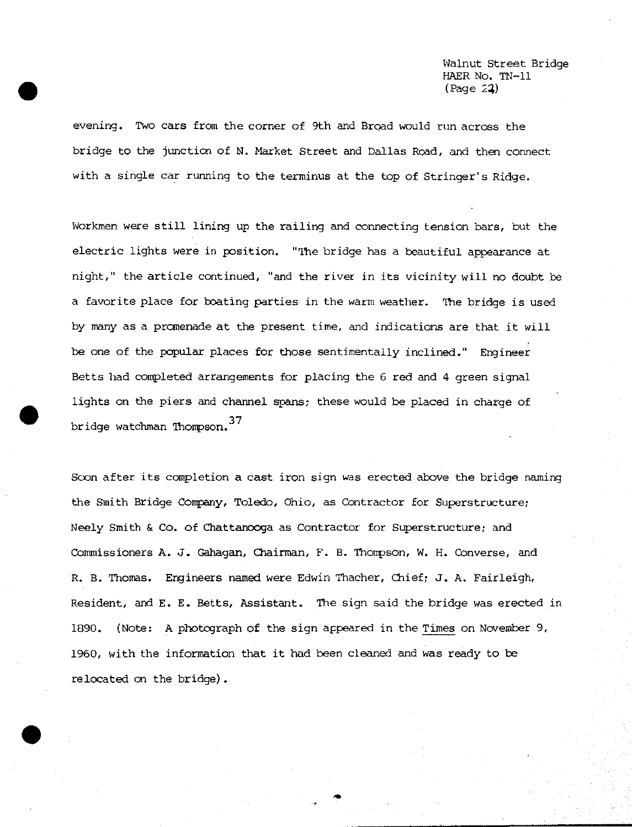Walnut Street Bridge HAER No. TN-11 (Page 24)

evening. Two cars from the corner of 9th and Broad would run across the bridge to the junction of N. Market Street and Dallas Road, and then connect with a single car running to the terminus at the top of Stringer's Ridge.

Workmen were still lining up the railing and connecting tension bars, but the electric lights were in position. "The bridge has a beautiful appearance at night," the article continued, "and the river in its vicinity will no doubt be a favorite place for boating parties in the warm weather. The bridge is used by many as a promenade at the present time, and indications are that it will be one of the popular places for those sentimentally inclined." Engineer Betts had completed arrangements for placing the 6 red and 4 green signal lights on the piers and channel spans; these would be placed in charge of bridge watchman Thompson.<sup>37</sup>

Scon after its completion a cast iron sign was erected above the bridge naming the Smith Bridge Company, Toledo, Ohio, as Contractor for Superstructure; Neely Smith & Co. of Chattanooga as Contractor for Superstructure; and Commissioners A. J. Gahagan, Chairman, F. B. Thompson, W. H. Converse, and R. B. Thomas. Engineers named were Edwin Thacher, Chief; J. A. Fairleigh, Resident, and E. E. Betts, Assistant. The sign said the bridge was erected in 1890. {Note: A photograph of the sign appeared in the Times on November 9, 1960, with the information that it had been cleaned and was ready to be relocated on the bridge).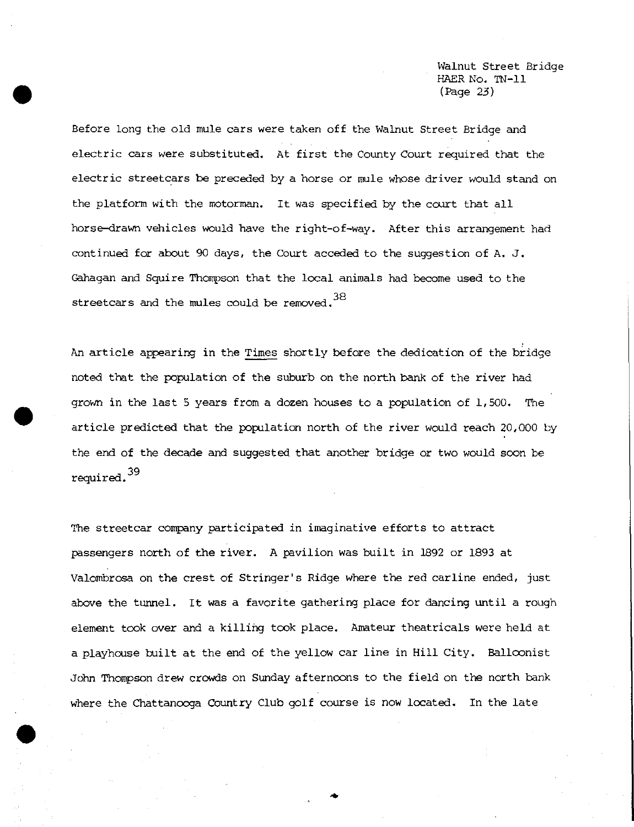Walnut Street Bridge HAER No. TN-11 (Page 23)

Before long the old mule cars were taken off the Walnut Street Bridge and electric cars were substituted. At first the County Court required that the electric streetcars be preceded by a horse or mule whose driver would stand on the platform with the motorman. It was specified by the court that all horse-drawn vehicles would have the right-of-way. After this arrangement had continued for about 90 days, the Court acceded to the suggestion of A. J. Gahagan and Squire Thompson that the local animals had become used to the streetcars and the mules could be removed. $^{38}$ 

An article appearing in the Times shortly before the dedication of the bridge noted that the population of the suburb on the north bank of the river had grown in the last 5 years from a dozen houses to a population of 1,500. The article predicted that the population north of the river would reach 20,000 by the end of the decade and suggested that another bridge or two would soon be required.

The streetcar company participated in imaginative efforts to attract passengers north of the river. A pavilion was built in 1892 or 1893 at Valombrosa on the crest of Stringer's Ridge where the red carline ended, just above the tunnel. It was a favorite gathering place for dancing until a rough element took over and a killing took place. Amateur theatricals were held at a playhouse built at the end of the yellow car line in Hill City. Balloonist John Thompson drew crowds on Sunday afternoons to the field on the north bank where the Chattanooga Country Club golf course is now located. In the late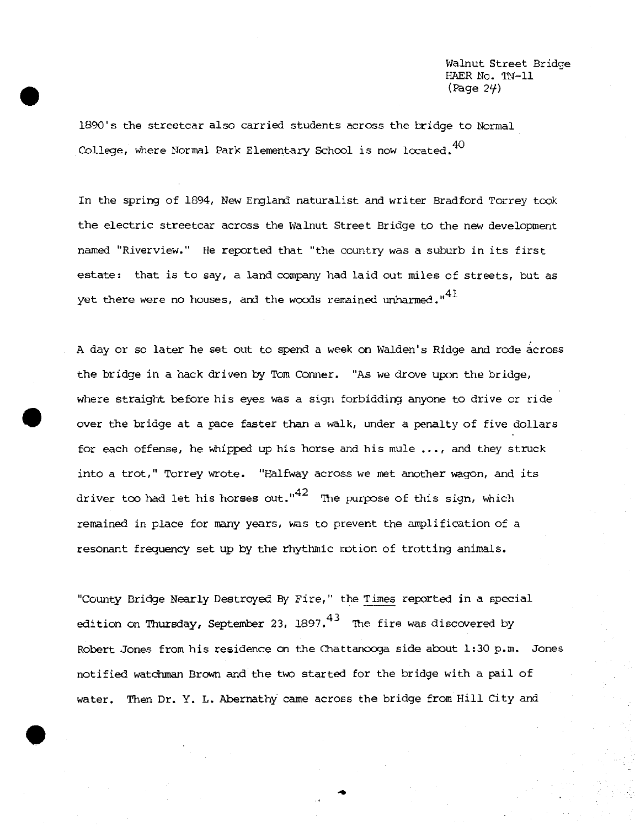Walnut Street Bridge HAER No. TN-11 (Page 24)

1890's the streetcar also carried students across the bridge to Normal College, where Normal Park Elementary School is now located.<sup>40</sup>

In the spring of 1894, New England naturalist and writer Bradford Torrey took the electric streetcar across the Walnut Street Bridge to the new development named "Riverview." He reported that "the country was a suburb in its first estate: that is to say, a land company had laid out miles of streets, but as yet there were no houses, and the woods remained unharmed." $41$ 

A day or so later he set out to spend a week on Walden's Ridge and rode across the bridge in a hack driven by Tom Conner. "As we drove upon the bridge, where straight before his eyes was a sign forbidding anyone to drive or ride over the bridge at a pace faster than a walk, under a penalty of five dollars for each offense, he whipped up his horse and his mule ..., and they struck into a trot," Torrey wrote. "Halfway across we met another wagon, and its driver too had let his horses out." $^{42}\,$  The purpose of this sign, which remained in place for many years, was to prevent the amplification of a resonant frequency set up by the rhythmic motion of trotting animals.

"County Bridge Nearly Destroyed By Fire," the Times reported in a special edition on Thursday, September 23, 1897. $^{43}$  The fire was discovered by Robert Jones from his residence on the Chattanooga side about 1:30 p.m. Jones notified watchman Brown and the two started for the bridge with a pail of water. Then Dr. Y. L. Abernathy came across the bridge from Hill City and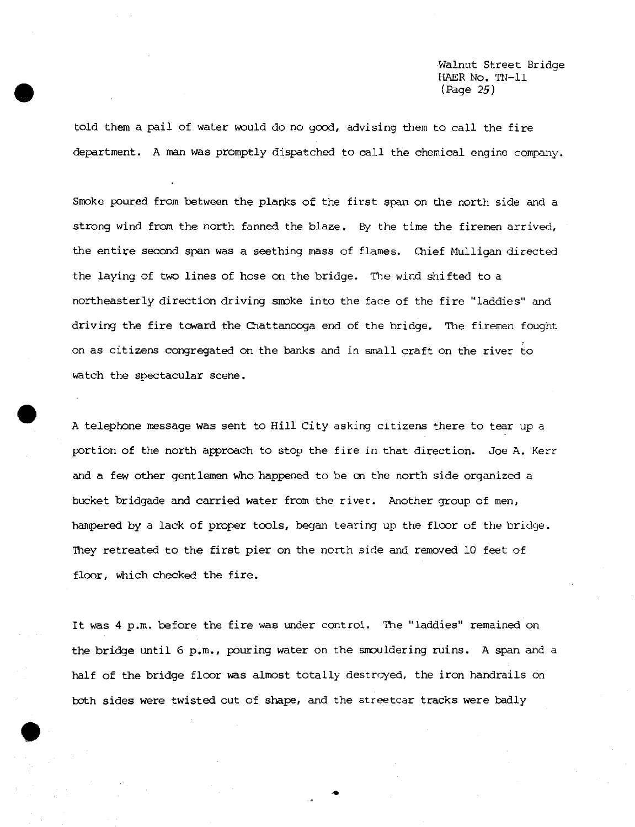Walnut Street Bridge HAER No. TN-11 (Rage 25)

told them a pail of water would do no good, advising them to call the fire department. A man was promptly dispatched to call the chemical engine company.

Smoke poured from between the planks of the first span on the north side and a strong wind from the north fanned the blaze. By the time the firemen arrived, the entire second span was a seething mass of flames. Chief Mulligan directed the laying of two lines of hose on the bridge. The wind shifted to a northeasterly direction driving smoke into the face of the fire "laddies" and driving the fire toward the Chattanooga end of the bridge. The firemen fought on as citizens congregated on the banks and in small craft on the river to watch the spectacular scene.

A telephone message was sent to Hill City asking citizens there to tear up a portion of the north approach to stop the fire in that direction. Joe A. Kerr and a few other gentlemen who happened to be on the north side organized a bucket bridgade and carried water from the river. Another group of men, hampered by a lack of proper tools, began tearing up the floor of the bridge. They retreated to the first pier on the north side and removed 10 feet of floor, which checked the fire.

It was 4 p.m. before the fire was under control. The "laddies" remained on the bridge until 6 p.m., pouring water on the smouldering ruins. A span and <sup>a</sup> half of the bridge floor was almost totally destroyed, the iron handrails on both sides were twisted out of shape, and the streetcar tracks were badly

**•**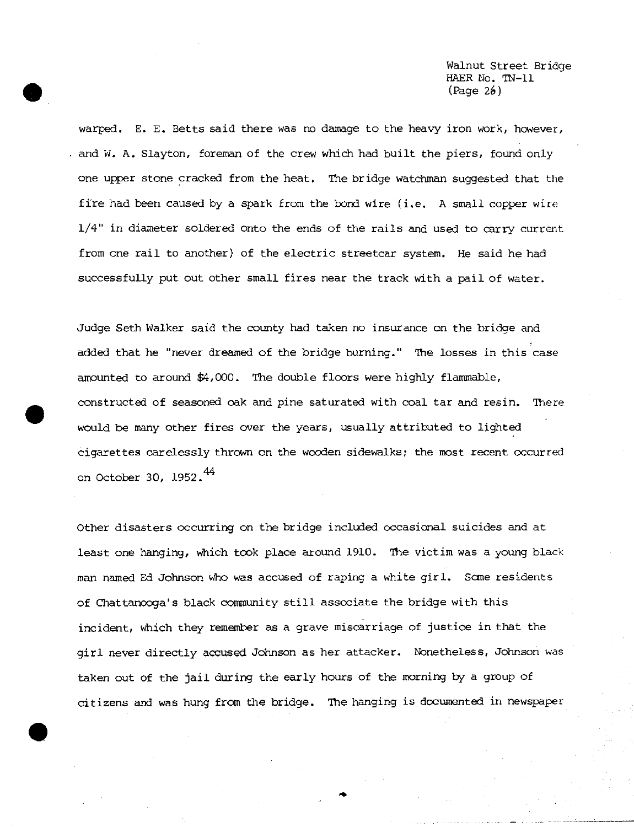Walnut Street Bridge HAER No. *TN-11* (Page 26)

warped. E. E. Betts said there was no damage to the heavy iron work, however, . and W. A. Slayton, foreman of the crew which had built the piers, found only one upper stone cracked from the heat. The bridge watchman suggested that the fire had been caused by a spark from the bond wire (i.e. A small copper wire 1/4" in diameter soldered onto the ends of the rails and used to carry current from one rail to another) of the electric streetcar system. He said he had successfully put out other small fires near the track with a pail of water.

Judge Seth Walker said the county had taken no insurance on the bridge and added that he "never dreamed of the bridge burning." The losses in this case amounted to around \$4,000. The double floors were highly flammable, constructed of seasoned oak and pine saturated with coal tar and resin. There would be many other fires over the years, usually attributed to lighted cigarettes carelessly thrown on the wooden sidewalks; the most recent occurred on October 30, 1952.<sup>44</sup>

Other disasters occurring on the bridge included occasional suicides and at least one hanging, which took place around 1910. The victim was a young black man named Ed Johnson who was accused of raping a white girl. Some residents of Chattanooga's black community still associate the bridge with this incident, which they remember as a grave miscarriage of justice in that the girl never directly accused Johnson as her attacker. Nonetheless, Johnson was taken out of the jail during the early hours of the morning by a group of citizens and was hung from the bridge. The hanging is documented in newspaper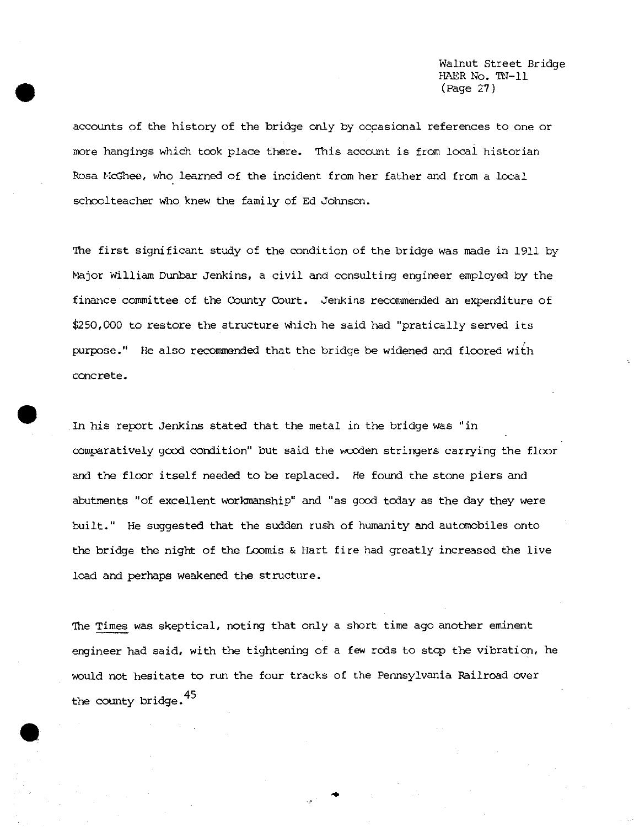Walnut Street Bridge HAER No. TN-11 (Page 27)

accounts of the history of the bridge only by occasional references to one or more hangings which took place there. This account is from local historian Rosa McGhee, who learned of the incident from her father and from a local schoolteacher who knew the family of Ed Johnson.

The first significant study of the condition of the bridge was made in 1911 by Major William Dunbar Jenkins, a civil and consulting engineer employed by the finance committee of the County Court. Jenkins recommended an expenditure of \$250,000 to restore the structure which he said had "pratically served its purpose." He also recommended that the bridge be widened and floored with concrete.

In his report Jenkins stated that the metal in the bridge was "in comparatively good condition" but said the wooden stringers carrying the floor and the floor itself needed to be replaced. He found the stone piers and abutments "of excellent workmanship" and "as good today as the day they were built." He suggested that the sudden rush of humanity and automobiles onto the bridge the night of the Lcomis & Hart fire had greatly increased the live load and perhaps weakened the structure.

The Times was skeptical, noting that only a short time ago another eminent engineer had said, with the tightening of a few rods to stop the vibration, he would not hesitate to run the four tracks of the Pennsylvania Railroad over the county bridge.<sup>45</sup>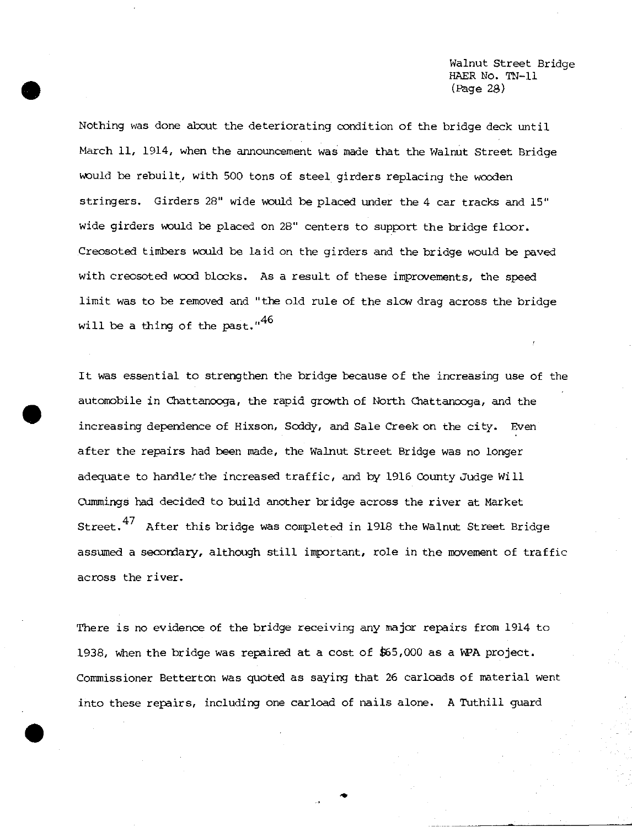Walnut Street Bridge HAER No. TN-11 (Rage 20)

Nothing was done about the deteriorating condition of the bridge deck until March 11, 1914, when the announcement was made that the Walnut Street Bridge would be rebuilt, with 500 tons of steel girders replacing the wooden stringers. Girders 28" wide would be placed under the 4 car tracks and 15" wide girders would be placed on 28" centers to support the bridge floor. Creosoted timbers would be laid on the girders and the bridge would be paved with creosoted wood blocks. As a result of these improvements, the speed limit was to be removed and "the old rule of the slow drag across the bridge will be a thing of the past."<sup>46</sup>

It was essential to strengthen the bridge because of the increasing use of the automobile in Chattanooga, the rapid growth of North Chattanooga, and the increasing dependence of Hixson, Soddy, and Sale Creek on the city. Even after the repairs had been made, the Walnut Street Bridge was no longer adequate to handle'the increased traffic, and by 1916 County Judge Will Cummings had decided to build another bridge across the river at Market Street.<sup>47</sup> After this bridge was completed in 1918 the Walnut Street Bridge assumed a secondary, although still important, role in the movement of traffic across the river.

There is no evidence of the bridge receiving any major repairs from 1914 to 1938, when the bridge was repaired at a cost of £65,000 as a WPA project. Commissioner Betterton was quoted as saying that 26 carloads of material went into these repairs, including one carload of nails alone. A Tuthill guard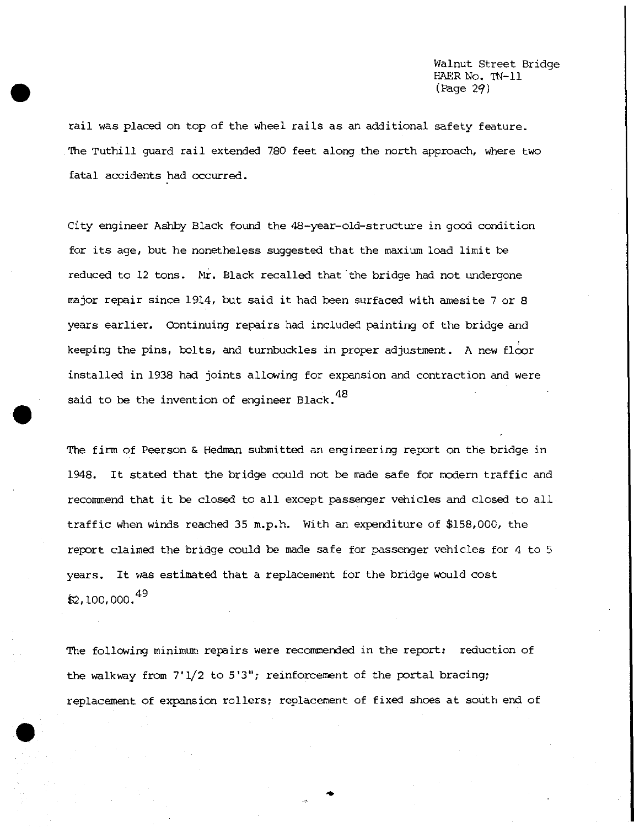rail was placed on top of the wheel rails as an additional safety feature. The TUthill guard rail extended 780 feet along the north approach, where two fatal accidents had occurred.

City engineer Ashby Black found the 48-year-old-structure in good condition for its age, but he nonetheless suggested that the maxium load limit be reduced to 12 tons. Mr. Black recalled that the bridge had not undergone major repair since 1914, but said it had been surfaced with amesite <sup>7</sup> or 8 years earlier. Continuing repairs had included painting of the bridge and keeping the pins, bolts, and turnbuckles in proper adjustment. A new floor installed in 1938 had joints allowing for expansion and contraction and were said to be the invention of engineer Black.<sup>48</sup>

The firm of Peerson & Hedman submitted an engineering report on the bridge in 1948. It stated that the bridge could not be made safe for modern traffic and recommend that it be closed to all except passenger vehicles and closed to all traffic when winds reached 35 m.p.h. With an expenditure of \$158,000, the report claimed the bridge could be made safe for passenger vehicles for 4 to 5 years. It was estimated that a replacement for the bridge would cost  $$2,100,000.<sup>49</sup>$ 

The following minimum repairs were recommended in the report: reduction of the walkway from 7\*1/2 to 5'3"; reinforcement of the portal bracing; replacement of expansion rollers; replacement of fixed shoes at south end of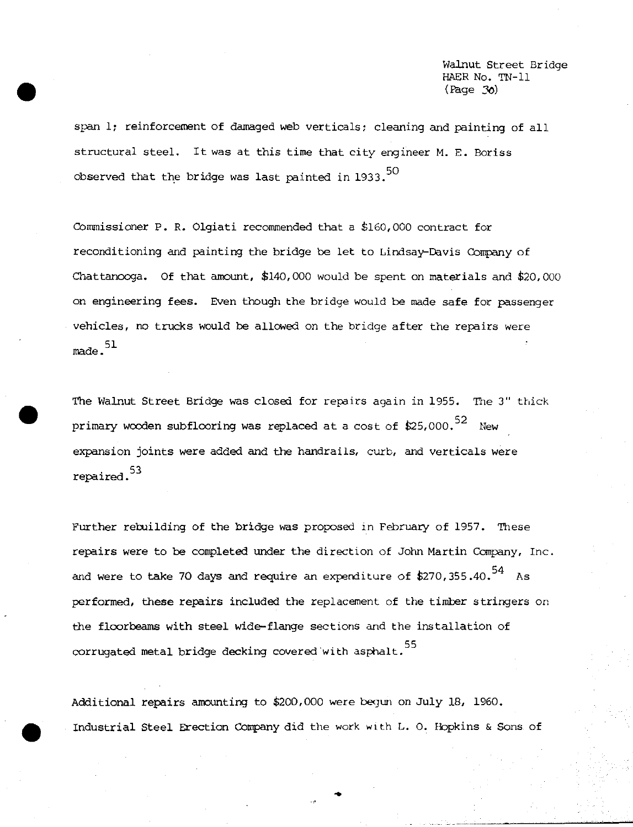Walnut Street Bridge HAER No. TN-11 *(Page 36)*

span 1; reinforcement of damaged web verticals; cleaning and painting of all structural steel. It was at this time that city engineer M. E. Boriss observed that the bridge was last painted in  $1933.50$ 

Commissioner P. R. Olgiati recommended that a £160,000 contract for reconditioning and painting the bridge be let to Lindsay—Davis Company of Chattanooga. Of that amount, \$140,000 would be spent on materials and \$20,000 on engineering fees. Even though the bridge would be made safe for passenger vehicles, no trucks would be allowed on the bridge after the repairs were *\** 51 made.

The Walnut Street Bridge was closed for repairs again in 1955. The 3" thick primary wooden subflooring was replaced at a cost of \$25,000.  $52$  New expansion joints were added and the handrails, curb, and verticals were ^ <sup>53</sup> repaired.

Further rebuilding of the bridge was proposed in February of 1957. These repairs were to be completed under the direction of John Martin Company, Inc. and were to  $\tt take$  70 days and require an expenditure of \$270,355.40. $^{54}$   $\,$  As performed, these repairs included the replacement of the timber stringers on the flcorbeams with steel wide-flange sections and the installation of corrugated metal bridge decking covered with asphalt.<sup>55</sup>

Additional repairs amounting to \$200,000 were begun on July 18, 1960. Industrial Steel Erection Company did the work with L. 0. Hopkins & Sons of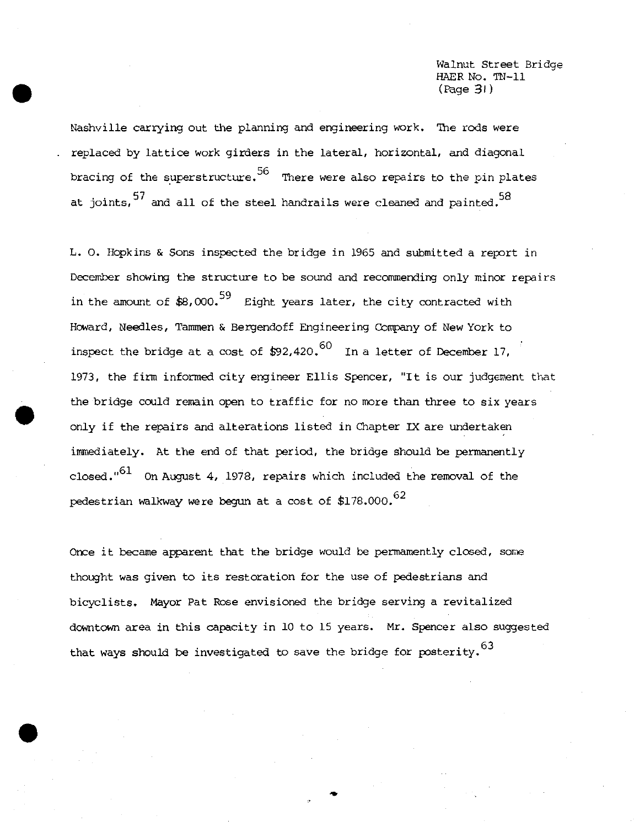Walnut Street Bridge HAER No. TN-11 (fcge *31*)

Nashville carrying out the planning and engineering work. The rods were replaced by lattice work girders in the lateral, horizontal, and diagonal bracing of the superstructure.  $56$  There were also repairs to the pin plates at joints,  $57$  and all of the steel handrails were cleaned and painted.  $58$ 

L. O. Hopkins & Sons inspected the bridge in 1965 and submitted a report in December showing the structure to be sound and recommending only minor repairs in the amount of  $$8,000.^{59}$  Eight years later, the city contracted with Howard, Needles, Tammen & Bergendoff Engineering Company of New York to inspect the bridge at a cost of  $$92,420.^60$  In a letter of December 17, 1973, the firm informed city engineer Ellis Spencer, "It is our judgement that the bridge could remain open to traffic for no more than three to six years only if the repairs and alterations listed in Chapter IX are undertaken immediately. At the end of that period, the bridge should be permanently closed." $61$  On August 4, 1978, repairs which included the removal of the pedestrian walkway were begun at a cost of  $$178.000.^{62}$ 

Once it became apparent that the bridge would be permamently closed, some thought was given to its restoration for the use of pedestrians and bicyclists. Mayor Pat Rose envisioned the bridge serving a revitalized downtown area in this capacity in 10 to 15 years. Mr. Spencer also suggested that ways should be investigated to save the bridge for posterity.  $^{63}$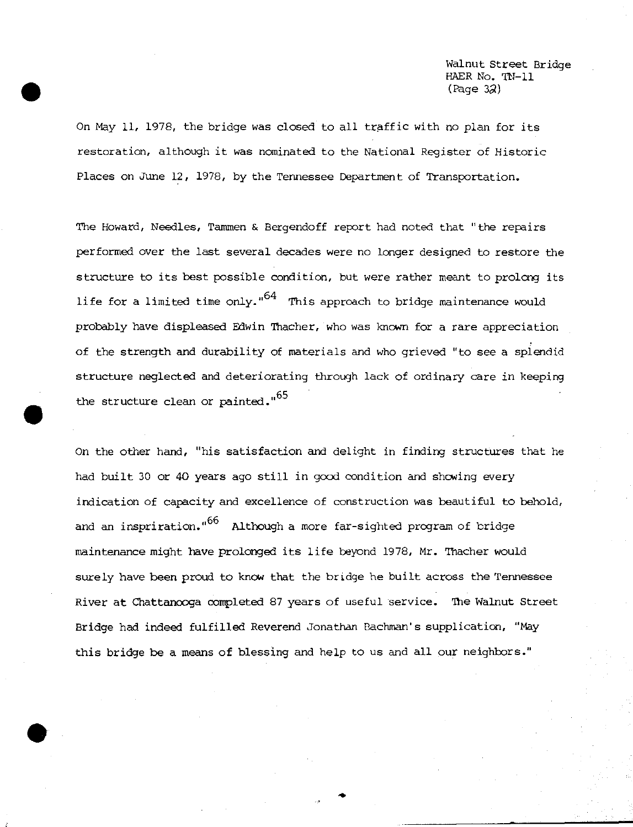Walnut Street Bridge HAER No. IN-11  $(Page 32)$ 

On May 11, 1978, the bridge was closed to all traffic with no plan for its restoration, although it was nominated to the National Register of Historic Places on June 12, 1978, by the Tennessee Department of Transportation.

The Howard, Needles, Tammen & Bergendoff report had noted that "the repairs performed over the last several decades were no longer designed to restore the structure to its best possible condition, but were rather meant to prolong its life for a limited time only." $64$  This approach to bridge maintenance would probably have displeased Edwin Thacher, who was known for a rare appreciation of the strength and durability of materials and who grieved "to see a splendid structure neglected and deteriorating through lack of ordinary care in keeping the structure clean or painted."<sup>65</sup>

On the other hand, "his satisfaction and delight in finding structures that he had built 30 or 40 years ago still in good condition and showing every indication of capacity and excellence of construction was beautiful to behold, and an inspriration."<sup>66</sup> Although a more far-sighted program of bridge maintenance might have prolonged its life beyond 1978, Mr. Thacher would surely have been proud to know that the bridge he built across the Tennessee River at Chattanooga completed 87 years of useful service. The Walnut Street Bridge had indeed fulfilled Reverend Jonathan Eachman's supplication, "May this bridge be a means of blessing and help to us and all our neighbors."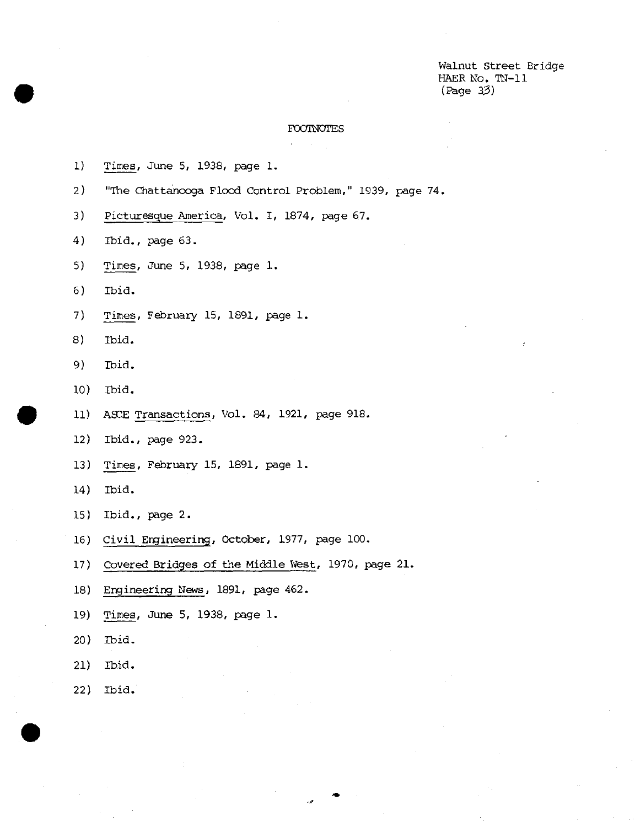Walnut Street Bridge HAER No. TN-11 (Page *33)*

 $\bar{z}$ 

## FOOTNOTES

 $\overline{\phantom{a}}$ 

| 1)  | Times, June 5, 1938, page 1.                            |
|-----|---------------------------------------------------------|
| 2)  | "The Chattancoga Flood Control Problem," 1939, page 74. |
| 3)  | Picturesque America, Vol. I, 1874, page 67.             |
| 4)  | Ibid., page 63.                                         |
| 5)  | Times, June 5, 1938, page 1.                            |
| 6)  | Ibid.                                                   |
| 7)  | Times, February 15, 1891, page 1.                       |
| 8)  | Ibid.                                                   |
| 9)  | Tbid.                                                   |
| 10) | Ibid.                                                   |
| 11) | ASCE Transactions, Vol. 84, 1921, page 918.             |
| 12) | Ibid., page 923.                                        |
| 13) | Times, February 15, 1891, page 1.                       |
| 14) | Ibid.                                                   |
| 15) | Ibid., page 2.                                          |
| 16) | Civil Engineering, October, 1977, page 100.             |
| 17) | Covered Bridges of the Middle West, 1970, page 21.      |
| 18) | Engineering News, 1891, page 462.                       |
| 19) | Times, June 5, 1938, page 1.                            |
| 20) | Ibid.                                                   |
| 21) | Ibid.                                                   |
| 22) | Ibid.                                                   |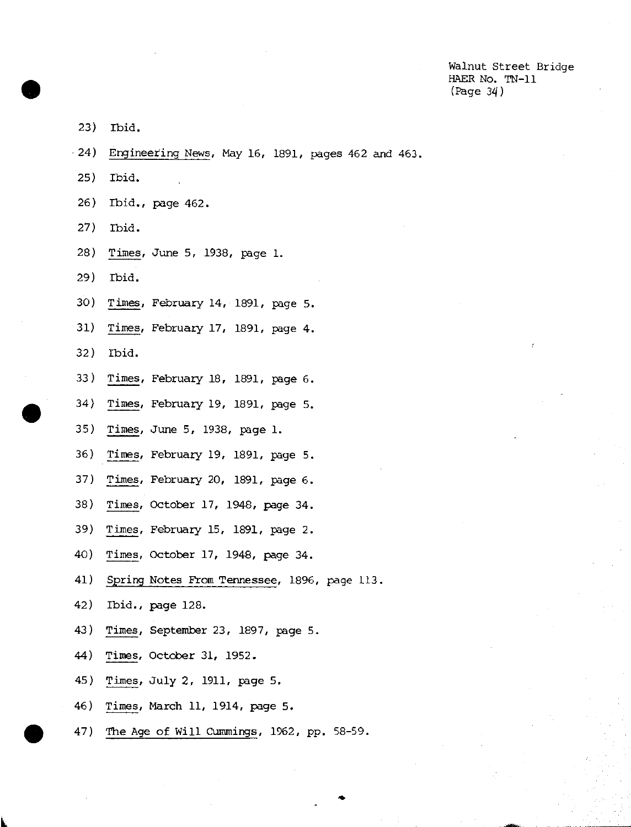Walnut Street Bridge HAER No. TN-11 (Page 34)

- 23 ) Ibid.
- 24 ) Engineering News, May 16, 1891, paqes 462 and 463.
- 25 ) Ibid.
- 26) Ibid., page 462.
- 27) Ibid.
- 28 ) Times, June 5, 1938, page 1.
- 29 ) Ibid.
- 30 ) Times, February 14, 1891, page 5.
- 31) Times, February 17, 1891, page 4.
- 32) Ibid.
- 33 ) Times, February 18, 1891, page 6.
- 34) Times, February 19, 1891, page 5.
- 35) Times, June 5, 1938, page 1.
- 36) Times, February 19, 1891, page 5.
- 37) Times, February 20, 1891, page 6.
- 38) Times, October 17, 1948, page 34.
- 39) Times, February 15, 1891, page 2.
- 40) Times, October 17, 1948, page 34.
- 41) Spring Notes From Tennessee, 1896, page 113.
- 42) Ibid., page 128.
- 43) Times, September 23, 1897, page 5.
- 44) Times, October 31, 1952.
- 45) Times, July 2, 1911, page 5.
- 46) Times, March 11, 1914, page 5.
- 47) The Age of Will Cummings, 1962, pp. 58-59.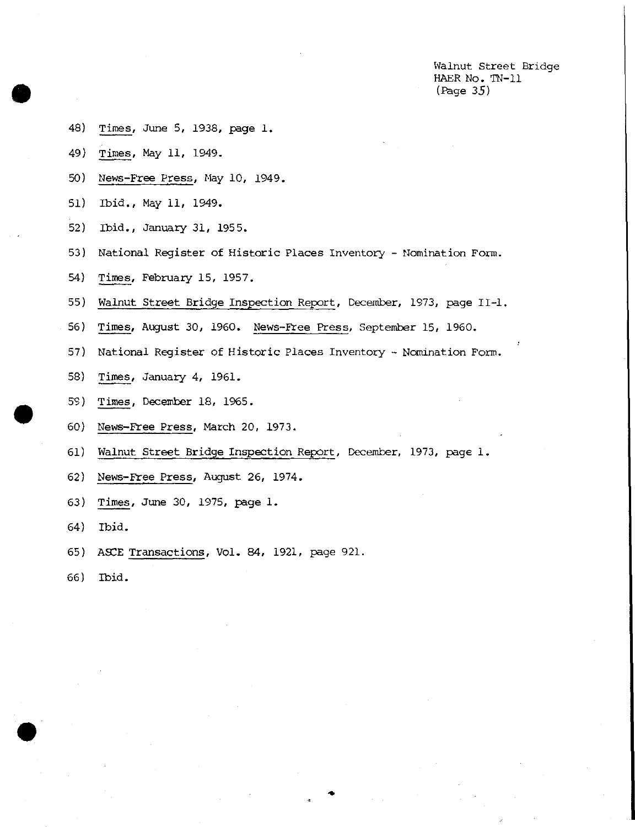Walnut Street Bridge HAER No. TN-11 (Page *35)*

- <sup>48</sup>) Times, June 5, 1938, page 1.
- 49) Times, May 11, 1949.
- 50) News-Free Press, May 10, 1949.
- 51) Ibid., May 11, 1949.
- 52) Ibid., January 31, 1955.
- 53) National Register of Historic Places Inventory Nomination Form.
- 54) Times, February 15, 1957.
- 55) Walnut Street Bridge Inspection Report, December, 1973, page II-l.
- 56) Times, August 30, 1960. News-Free Press, September 15, 1960.
- 57) National Register of Historic Places Inventory Nomination Form.
- 58) Times, January 4, 1961.
- 59) Times, December 18, 1965.
- 60) News-Free Press, March 20, 1973.
- 61) Walnut Street Bridge Inspection Report, December, 1973, page 1.
- 62) News-Free Press, August 26, 1974.
- 63) Times, June 30, 1975, page 1.
- 64) Ibid.
- 65) ASCE Transactions, Vol. 84, 1921, page 921.
- 66) Ibid.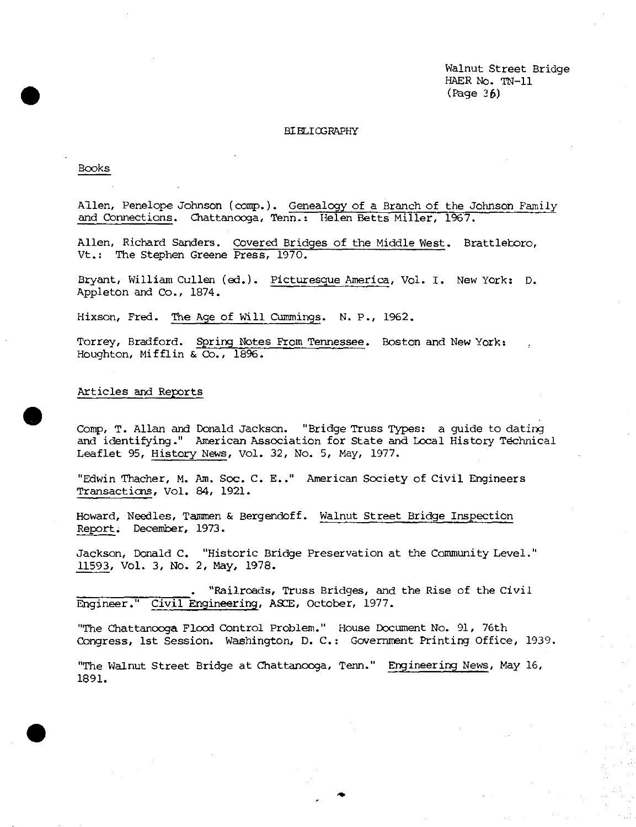Walnut Street Bridge HAER No. TN-11 *(Page* 36)

### BIBLIOGRAPHY

Books

Allen, Penelope Johnson (comp.). Genealogy of a Branch of the Johnson Family and Connections. Chattanooga, Tenn.: Helen Betts Miller, 1967.

Allen, Richard Sanders. Covered Bridges of the Middle West. Brattletoro, Vt.: The Stephen Greene Press, 1970.

Bryant, William Cullen (ed.). Picturesque America, Vol. I. New York: D. Appleton and Co., 1874.

Hixson, Fred. The Age of Will Cummings. N. P., 1962.

Torrey, Bradford. Spring Notes From Tennessee. Boston and New York: Houghton, Mifflin & Co., 1896.

Articles and Reports

Comp, T. Allan and Donald Jackson. "Bridge Truss Types: a guide to dating and identifying." American Association for State and Local History Technical Leaflet 95, History News, Vol. 32, No. 5, May, 1977.

"Edwin Thacher, M. Am. Soc. C. E.." American Society of Civil Engineers Transactions, Vol. 84, 1921.

Howard, Needles, Tammen & Bergendoff. Walnut Street Bridge Inspection Report. December, 1973.

Jackson, Donald C. "Historic Bridge Preservation at the Community Level." 11593, Vol. 3, No. 2, May, 1978.

. "Railroads, Truss Bridges, and the Rise of the Civil Engineer." Civil Engineering, ASCE, October, 1977.

"The Chattanooga Flood Control Problem." House Document No. 91, 76th Congress, 1st Session. Washington, D. C: Government Printing Office, 1939.

"The Walnut Street Bridge at Chattanooga, Tenn." Engineering News, May 16, 1891.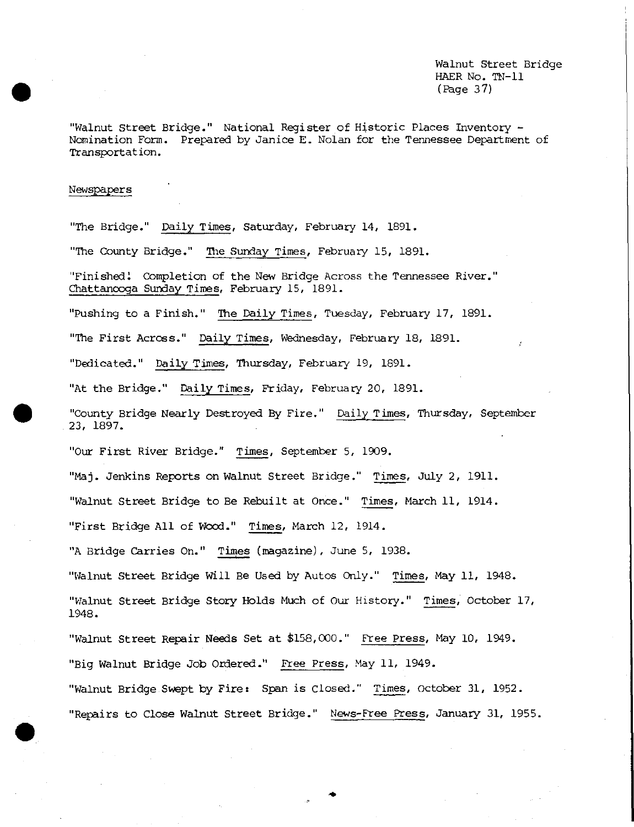Walnut Street Bridge HAER No. TN-11 (Page 37)

"Walnut Street Bridge." National Register of Historic Places Inventory - Nomination Form. Prepared by Janice E. Nolan for the Tennessee Department of Transportation.

#### Newspapers

"The Bridge." Daily Times, Saturday, February 14, 1891.

"The County Bridge." The Sunday Times, February 15, 1891.

"Finished! Completion of the New Bridge Across the Tennessee River." Chattanooga Sunday Times, February 15, 1891.

"Pushing to a Finish." The Daily Times, Tuesday, February 17, 1891.

"The First Across." Daily Times, Wednesday, February 18, 1891.

"Dedicated." Daily Times, Thursday, February 19, 1891.

"At the Bridge." Daily Times, Friday, February 20, 1891.

"County Bridge Nearly Destroyed By Fire." Daily Times, Thursday, September 23, 1897.

"Our First River Bridge." Times, September 5, 1909.

"Maj. Jenkins Reports on Walnut Street Bridge." Times, July 2, 1911.

"Walnut Street Bridge to Be Rebuilt at Once." Times, March 11, 1914.

"First Bridge All of Wood." Times, March 12, 1914.

"A Bridge Carries On." Times (magazine), June 5, 1938.

"Walnut Street Bridge Will Be Used by Autos Only." Times, May 11, 1948.

"Walnut Street Bridge Story Holds Much of Our History." Times, October 17, 1948.

"Walnut Street Repair Needs Set at £158,000." Free Press, May 10, 1949.

"Big Walnut Bridge Job Ordered." Free Press, May 11, 1949.

"Walnut Bridge Swept by Fire: Span is Closed." Times, October 31, 1952. "Repairs to Close Walnut Street Bridge." News-Free Press, January 31, 1955,